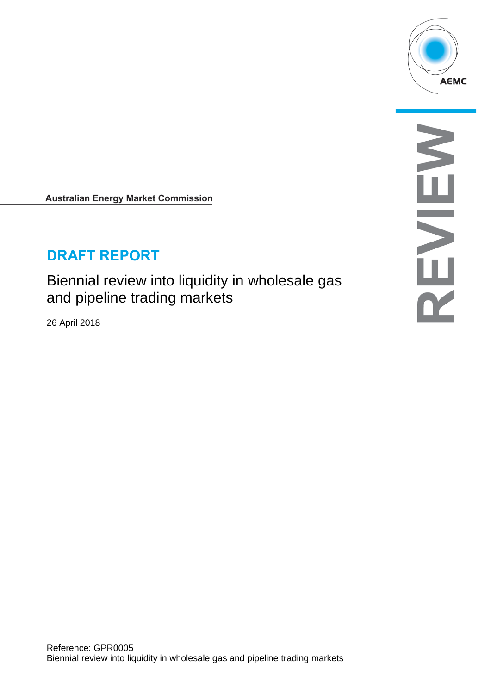

**Australian Energy Market Commission** 

# **DRAFT REPORT**

Biennial review into liquidity in wholesale gas and pipeline trading markets

26 April 2018

NENEY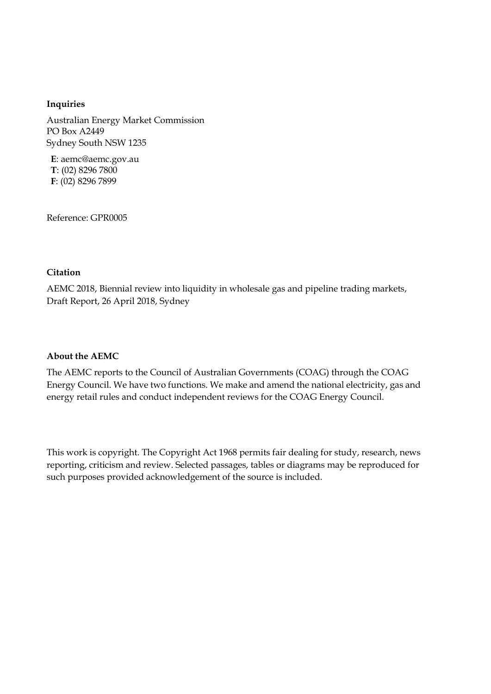#### **Inquiries**

Australian Energy Market Commission PO Box A2449 Sydney South NSW 1235

**E**: aemc@aemc.gov.au **T**: (02) 8296 7800 **F**: (02) 8296 7899

Reference: GPR0005

#### **Citation**

AEMC 2018, Biennial review into liquidity in wholesale gas and pipeline trading markets, Draft Report, 26 April 2018, Sydney

#### **About the AEMC**

The AEMC reports to the Council of Australian Governments (COAG) through the COAG Energy Council. We have two functions. We make and amend the national electricity, gas and energy retail rules and conduct independent reviews for the COAG Energy Council.

This work is copyright. The Copyright Act 1968 permits fair dealing for study, research, news reporting, criticism and review. Selected passages, tables or diagrams may be reproduced for such purposes provided acknowledgement of the source is included.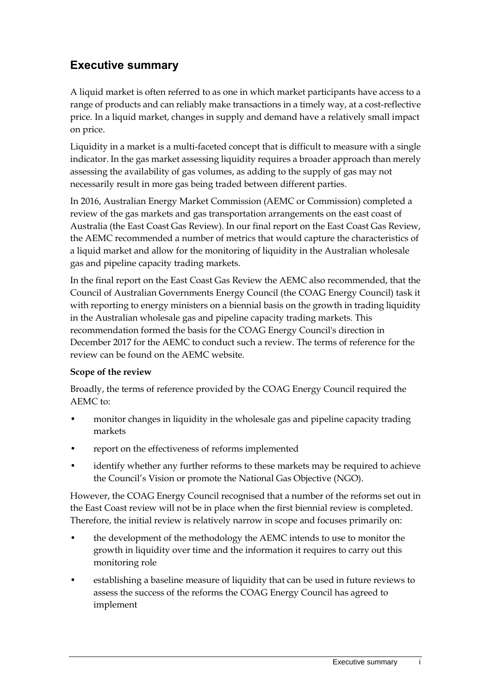# **Executive summary**

A liquid market is often referred to as one in which market participants have access to a range of products and can reliably make transactions in a timely way, at a cost-reflective price. In a liquid market, changes in supply and demand have a relatively small impact on price.

Liquidity in a market is a multi-faceted concept that is difficult to measure with a single indicator. In the gas market assessing liquidity requires a broader approach than merely assessing the availability of gas volumes, as adding to the supply of gas may not necessarily result in more gas being traded between different parties.

In 2016, Australian Energy Market Commission (AEMC or Commission) completed a review of the gas markets and gas transportation arrangements on the east coast of Australia (the East Coast Gas Review). In our final report on the East Coast Gas Review, the AEMC recommended a number of metrics that would capture the characteristics of a liquid market and allow for the monitoring of liquidity in the Australian wholesale gas and pipeline capacity trading markets.

In the final report on the East Coast Gas Review the AEMC also recommended, that the Council of Australian Governments Energy Council (the COAG Energy Council) task it with reporting to energy ministers on a biennial basis on the growth in trading liquidity in the Australian wholesale gas and pipeline capacity trading markets. This recommendation formed the basis for the COAG Energy Council's direction in December 2017 for the AEMC to conduct such a review. The terms of reference for the review can be found on the AEMC website.

### **Scope of the review**

Broadly, the terms of reference provided by the COAG Energy Council required the AEMC to:

- monitor changes in liquidity in the wholesale gas and pipeline capacity trading markets
- report on the effectiveness of reforms implemented
- identify whether any further reforms to these markets may be required to achieve the Council's Vision or promote the National Gas Objective (NGO).

However, the COAG Energy Council recognised that a number of the reforms set out in the East Coast review will not be in place when the first biennial review is completed. Therefore, the initial review is relatively narrow in scope and focuses primarily on:

- the development of the methodology the AEMC intends to use to monitor the growth in liquidity over time and the information it requires to carry out this monitoring role
- establishing a baseline measure of liquidity that can be used in future reviews to assess the success of the reforms the COAG Energy Council has agreed to implement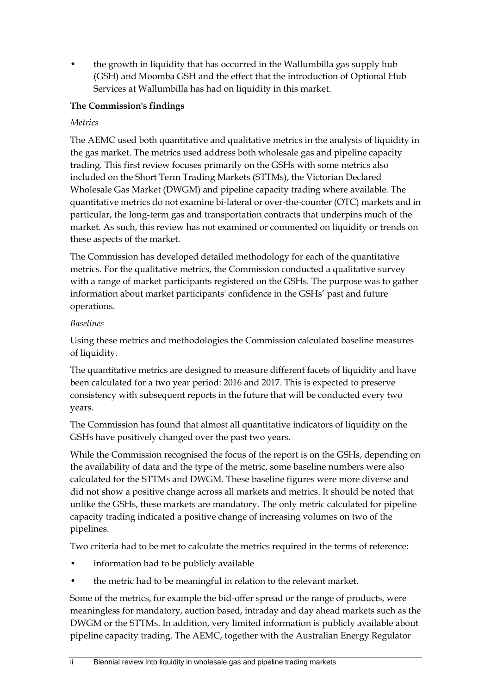• the growth in liquidity that has occurred in the Wallumbilla gas supply hub (GSH) and Moomba GSH and the effect that the introduction of Optional Hub Services at Wallumbilla has had on liquidity in this market.

### **The Commission's findings**

#### *Metrics*

The AEMC used both quantitative and qualitative metrics in the analysis of liquidity in the gas market. The metrics used address both wholesale gas and pipeline capacity trading. This first review focuses primarily on the GSHs with some metrics also included on the Short Term Trading Markets (STTMs), the Victorian Declared Wholesale Gas Market (DWGM) and pipeline capacity trading where available. The quantitative metrics do not examine bi-lateral or over-the-counter (OTC) markets and in particular, the long-term gas and transportation contracts that underpins much of the market. As such, this review has not examined or commented on liquidity or trends on these aspects of the market.

The Commission has developed detailed methodology for each of the quantitative metrics. For the qualitative metrics, the Commission conducted a qualitative survey with a range of market participants registered on the GSHs. The purpose was to gather information about market participants' confidence in the GSHs' past and future operations.

#### *Baselines*

Using these metrics and methodologies the Commission calculated baseline measures of liquidity.

The quantitative metrics are designed to measure different facets of liquidity and have been calculated for a two year period: 2016 and 2017. This is expected to preserve consistency with subsequent reports in the future that will be conducted every two years.

The Commission has found that almost all quantitative indicators of liquidity on the GSHs have positively changed over the past two years.

While the Commission recognised the focus of the report is on the GSHs, depending on the availability of data and the type of the metric, some baseline numbers were also calculated for the STTMs and DWGM. These baseline figures were more diverse and did not show a positive change across all markets and metrics. It should be noted that unlike the GSHs, these markets are mandatory. The only metric calculated for pipeline capacity trading indicated a positive change of increasing volumes on two of the pipelines.

Two criteria had to be met to calculate the metrics required in the terms of reference:

- information had to be publicly available
- the metric had to be meaningful in relation to the relevant market.

Some of the metrics, for example the bid-offer spread or the range of products, were meaningless for mandatory, auction based, intraday and day ahead markets such as the DWGM or the STTMs. In addition, very limited information is publicly available about pipeline capacity trading. The AEMC, together with the Australian Energy Regulator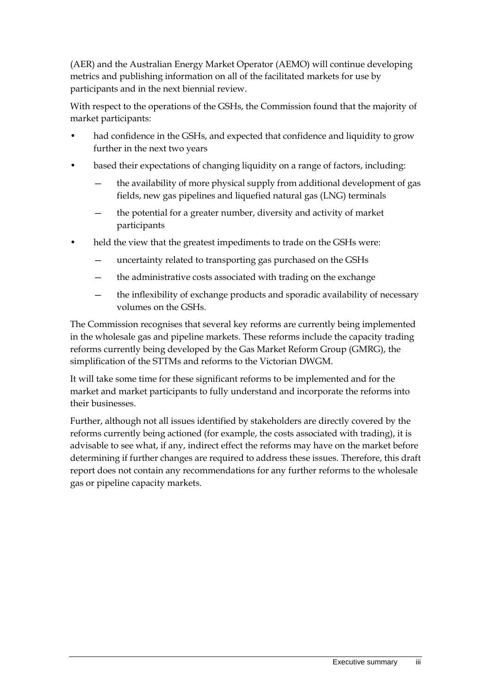(AER) and the Australian Energy Market Operator (AEMO) will continue developing metrics and publishing information on all of the facilitated markets for use by participants and in the next biennial review.

With respect to the operations of the GSHs, the Commission found that the majority of market participants:

- had confidence in the GSHs, and expected that confidence and liquidity to grow further in the next two years
- based their expectations of changing liquidity on a range of factors, including:
	- the availability of more physical supply from additional development of gas fields, new gas pipelines and liquefied natural gas (LNG) terminals
	- the potential for a greater number, diversity and activity of market participants
- held the view that the greatest impediments to trade on the GSHs were:
	- uncertainty related to transporting gas purchased on the GSHs
	- the administrative costs associated with trading on the exchange
	- the inflexibility of exchange products and sporadic availability of necessary volumes on the GSHs.

The Commission recognises that several key reforms are currently being implemented in the wholesale gas and pipeline markets. These reforms include the capacity trading reforms currently being developed by the Gas Market Reform Group (GMRG), the simplification of the STTMs and reforms to the Victorian DWGM.

It will take some time for these significant reforms to be implemented and for the market and market participants to fully understand and incorporate the reforms into their businesses.

Further, although not all issues identified by stakeholders are directly covered by the reforms currently being actioned (for example, the costs associated with trading), it is advisable to see what, if any, indirect effect the reforms may have on the market before determining if further changes are required to address these issues. Therefore, this draft report does not contain any recommendations for any further reforms to the wholesale gas or pipeline capacity markets.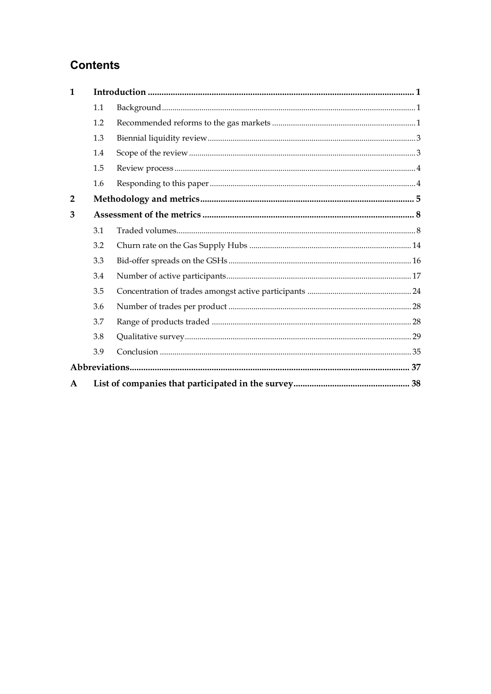# **Contents**

| $\mathbf{1}$   |     |  |
|----------------|-----|--|
|                | 1.1 |  |
|                | 1.2 |  |
|                | 1.3 |  |
|                | 1.4 |  |
|                | 1.5 |  |
|                | 1.6 |  |
| $\overline{2}$ |     |  |
| 3              |     |  |
|                | 3.1 |  |
|                | 3.2 |  |
|                | 3.3 |  |
|                | 3.4 |  |
|                | 3.5 |  |
|                | 3.6 |  |
|                | 3.7 |  |
|                | 3.8 |  |
|                | 3.9 |  |
|                |     |  |
| A              |     |  |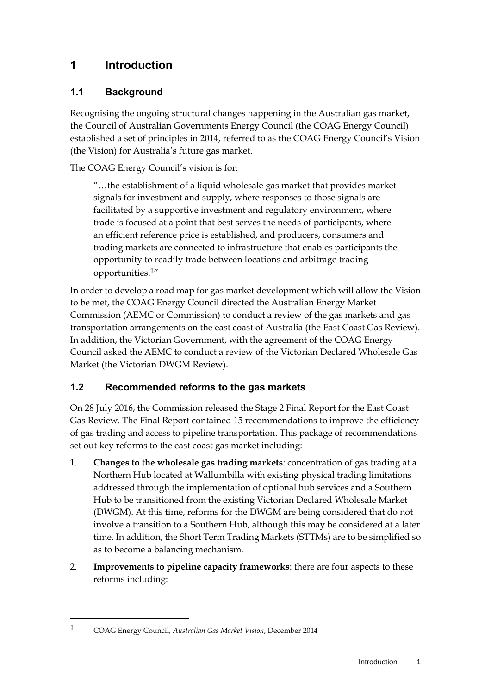# <span id="page-6-0"></span>**1 Introduction**

# <span id="page-6-1"></span>**1.1 Background**

Recognising the ongoing structural changes happening in the Australian gas market, the Council of Australian Governments Energy Council (the COAG Energy Council) established a set of principles in 2014, referred to as the COAG Energy Council's Vision (the Vision) for Australia's future gas market.

The COAG Energy Council's vision is for:

"…the establishment of a liquid wholesale gas market that provides market signals for investment and supply, where responses to those signals are facilitated by a supportive investment and regulatory environment, where trade is focused at a point that best serves the needs of participants, where an efficient reference price is established, and producers, consumers and trading markets are connected to infrastructure that enables participants the opportunity to readily trade between locations and arbitrage trading opportunities.1"

In order to develop a road map for gas market development which will allow the Vision to be met, the COAG Energy Council directed the Australian Energy Market Commission (AEMC or Commission) to conduct a review of the gas markets and gas transportation arrangements on the east coast of Australia (the East Coast Gas Review). In addition, the Victorian Government, with the agreement of the COAG Energy Council asked the AEMC to conduct a review of the Victorian Declared Wholesale Gas Market (the Victorian DWGM Review).

# <span id="page-6-2"></span>**1.2 Recommended reforms to the gas markets**

On 28 July 2016, the Commission released the Stage 2 Final Report for the East Coast Gas Review. The Final Report contained 15 recommendations to improve the efficiency of gas trading and access to pipeline transportation. This package of recommendations set out key reforms to the east coast gas market including:

- 1. **Changes to the wholesale gas trading markets**: concentration of gas trading at a Northern Hub located at Wallumbilla with existing physical trading limitations addressed through the implementation of optional hub services and a Southern Hub to be transitioned from the existing Victorian Declared Wholesale Market (DWGM). At this time, reforms for the DWGM are being considered that do not involve a transition to a Southern Hub, although this may be considered at a later time. In addition, the Short Term Trading Markets (STTMs) are to be simplified so as to become a balancing mechanism.
- 2. **Improvements to pipeline capacity frameworks**: there are four aspects to these reforms including:

1

<sup>1</sup> COAG Energy Council, *Australian Gas Market Vision*, December 2014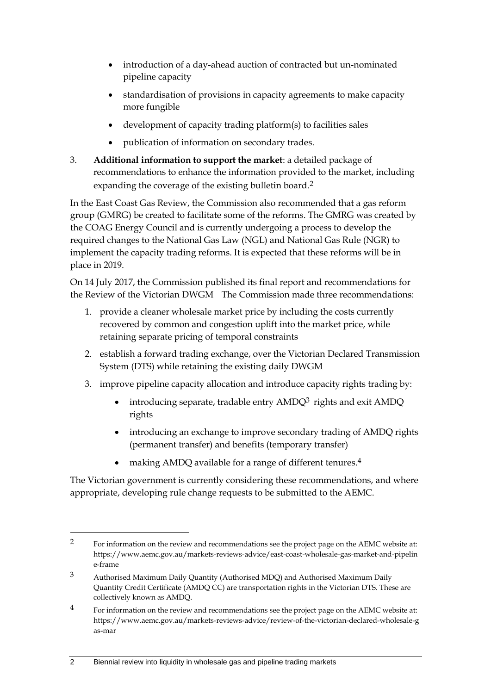- introduction of a day-ahead auction of contracted but un-nominated pipeline capacity
- standardisation of provisions in capacity agreements to make capacity more fungible
- development of capacity trading platform(s) to facilities sales
- publication of information on secondary trades.
- 3. **Additional information to support the market**: a detailed package of recommendations to enhance the information provided to the market, including expanding the coverage of the existing bulletin board.<sup>2</sup>

In the East Coast Gas Review, the Commission also recommended that a gas reform group (GMRG) be created to facilitate some of the reforms. The GMRG was created by the COAG Energy Council and is currently undergoing a process to develop the required changes to the National Gas Law (NGL) and National Gas Rule (NGR) to implement the capacity trading reforms. It is expected that these reforms will be in place in 2019.

On 14 July 2017, the Commission published its final report and recommendations for the Review of the Victorian DWGM The Commission made three recommendations:

- 1. provide a cleaner wholesale market price by including the costs currently recovered by common and congestion uplift into the market price, while retaining separate pricing of temporal constraints
- 2. establish a forward trading exchange, over the Victorian Declared Transmission System (DTS) while retaining the existing daily DWGM
- 3. improve pipeline capacity allocation and introduce capacity rights trading by:
	- $\bullet$  introducing separate, tradable entry AMDQ<sup>3</sup> rights and exit AMDQ rights
	- introducing an exchange to improve secondary trading of AMDQ rights (permanent transfer) and benefits (temporary transfer)
	- making AMDQ available for a range of different tenures.4

The Victorian government is currently considering these recommendations, and where appropriate, developing rule change requests to be submitted to the AEMC.

<u>.</u>

<sup>2</sup> For information on the review and recommendations see the project page on the AEMC website at: https://www.aemc.gov.au/markets-reviews-advice/east-coast-wholesale-gas-market-and-pipelin e-frame

<sup>3</sup> Authorised Maximum Daily Quantity (Authorised MDQ) and Authorised Maximum Daily Quantity Credit Certificate (AMDQ CC) are transportation rights in the Victorian DTS. These are collectively known as AMDQ.

<sup>&</sup>lt;sup>4</sup> For information on the review and recommendations see the project page on the AEMC website at: https://www.aemc.gov.au/markets-reviews-advice/review-of-the-victorian-declared-wholesale-g as-mar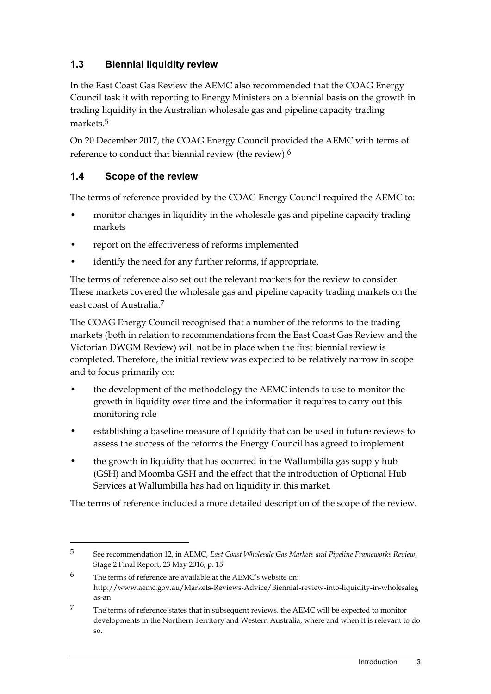# <span id="page-8-0"></span>**1.3 Biennial liquidity review**

In the East Coast Gas Review the AEMC also recommended that the COAG Energy Council task it with reporting to Energy Ministers on a biennial basis on the growth in trading liquidity in the Australian wholesale gas and pipeline capacity trading markets.5

On 20 December 2017, the COAG Energy Council provided the AEMC with terms of reference to conduct that biennial review (the review).6

# <span id="page-8-1"></span>**1.4 Scope of the review**

<u>.</u>

The terms of reference provided by the COAG Energy Council required the AEMC to:

- monitor changes in liquidity in the wholesale gas and pipeline capacity trading markets
- report on the effectiveness of reforms implemented
- identify the need for any further reforms, if appropriate.

The terms of reference also set out the relevant markets for the review to consider. These markets covered the wholesale gas and pipeline capacity trading markets on the east coast of Australia.7

The COAG Energy Council recognised that a number of the reforms to the trading markets (both in relation to recommendations from the East Coast Gas Review and the Victorian DWGM Review) will not be in place when the first biennial review is completed. Therefore, the initial review was expected to be relatively narrow in scope and to focus primarily on:

- the development of the methodology the AEMC intends to use to monitor the growth in liquidity over time and the information it requires to carry out this monitoring role
- establishing a baseline measure of liquidity that can be used in future reviews to assess the success of the reforms the Energy Council has agreed to implement
- the growth in liquidity that has occurred in the Wallumbilla gas supply hub (GSH) and Moomba GSH and the effect that the introduction of Optional Hub Services at Wallumbilla has had on liquidity in this market.

The terms of reference included a more detailed description of the scope of the review.

<sup>5</sup> See recommendation 12, in AEMC, *East Coast Wholesale Gas Markets and Pipeline Frameworks Review*, Stage 2 Final Report, 23 May 2016, p. 15

<sup>6</sup> The terms of reference are available at the AEMC's website on: http://www.aemc.gov.au/Markets-Reviews-Advice/Biennial-review-into-liquidity-in-wholesaleg as-an

<sup>7</sup> The terms of reference states that in subsequent reviews, the AEMC will be expected to monitor developments in the Northern Territory and Western Australia, where and when it is relevant to do so.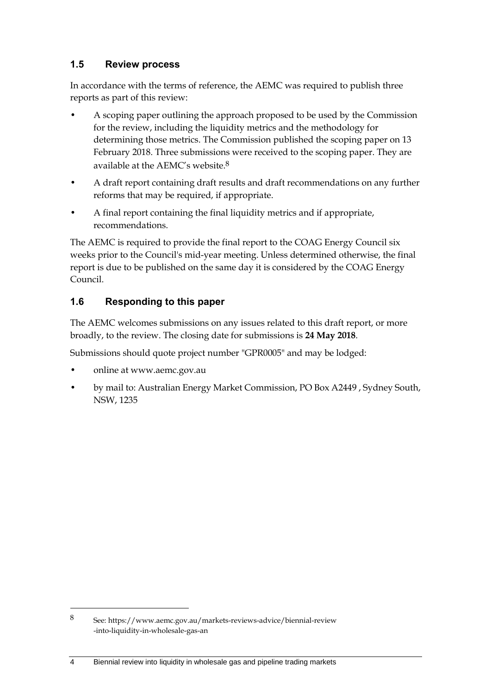## <span id="page-9-0"></span>**1.5 Review process**

In accordance with the terms of reference, the AEMC was required to publish three reports as part of this review:

- A scoping paper outlining the approach proposed to be used by the Commission for the review, including the liquidity metrics and the methodology for determining those metrics. The Commission published the scoping paper on 13 February 2018. Three submissions were received to the scoping paper. They are available at the AEMC's website.8
- A draft report containing draft results and draft recommendations on any further reforms that may be required, if appropriate.
- A final report containing the final liquidity metrics and if appropriate, recommendations.

The AEMC is required to provide the final report to the COAG Energy Council six weeks prior to the Council's mid-year meeting. Unless determined otherwise, the final report is due to be published on the same day it is considered by the COAG Energy Council.

# <span id="page-9-1"></span>**1.6 Responding to this paper**

The AEMC welcomes submissions on any issues related to this draft report, or more broadly, to the review. The closing date for submissions is **24 May 2018**.

Submissions should quote project number "GPR0005" and may be lodged:

• online at www.aemc.gov.au

-

• by mail to: Australian Energy Market Commission, PO Box A2449 , Sydney South, NSW, 1235

<sup>8</sup> See: https://www.aemc.gov.au/markets-reviews-advice/biennial-review -into-liquidity-in-wholesale-gas-an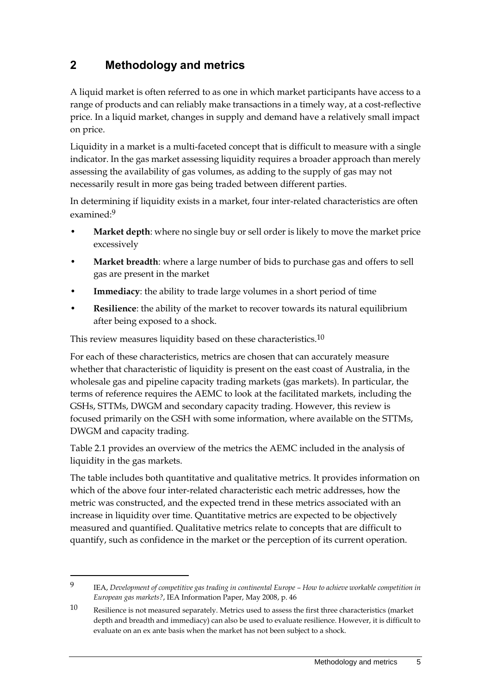# <span id="page-10-0"></span>**2 Methodology and metrics**

A liquid market is often referred to as one in which market participants have access to a range of products and can reliably make transactions in a timely way, at a cost-reflective price. In a liquid market, changes in supply and demand have a relatively small impact on price.

Liquidity in a market is a multi-faceted concept that is difficult to measure with a single indicator. In the gas market assessing liquidity requires a broader approach than merely assessing the availability of gas volumes, as adding to the supply of gas may not necessarily result in more gas being traded between different parties.

In determining if liquidity exists in a market, four inter-related characteristics are often examined:9

- **Market depth**: where no single buy or sell order is likely to move the market price excessively
- **Market breadth**: where a large number of bids to purchase gas and offers to sell gas are present in the market
- **Immediacy**: the ability to trade large volumes in a short period of time
- **Resilience**: the ability of the market to recover towards its natural equilibrium after being exposed to a shock.

This review measures liquidity based on these characteristics.<sup>10</sup>

1

For each of these characteristics, metrics are chosen that can accurately measure whether that characteristic of liquidity is present on the east coast of Australia, in the wholesale gas and pipeline capacity trading markets (gas markets). In particular, the terms of reference requires the AEMC to look at the facilitated markets, including the GSHs, STTMs, DWGM and secondary capacity trading. However, this review is focused primarily on the GSH with some information, where available on the STTMs, DWGM and capacity trading.

Table 2.1 provides an overview of the metrics the AEMC included in the analysis of liquidity in the gas markets.

The table includes both quantitative and qualitative metrics. It provides information on which of the above four inter-related characteristic each metric addresses, how the metric was constructed, and the expected trend in these metrics associated with an increase in liquidity over time. Quantitative metrics are expected to be objectively measured and quantified. Qualitative metrics relate to concepts that are difficult to quantify, such as confidence in the market or the perception of its current operation.

<sup>9</sup> IEA, Development of competitive gas trading in continental Europe – How to achieve workable competition in *European gas markets?*, IEA Information Paper, May 2008, p. 46

<sup>10</sup> Resilience is not measured separately. Metrics used to assess the first three characteristics (market depth and breadth and immediacy) can also be used to evaluate resilience. However, it is difficult to evaluate on an ex ante basis when the market has not been subject to a shock.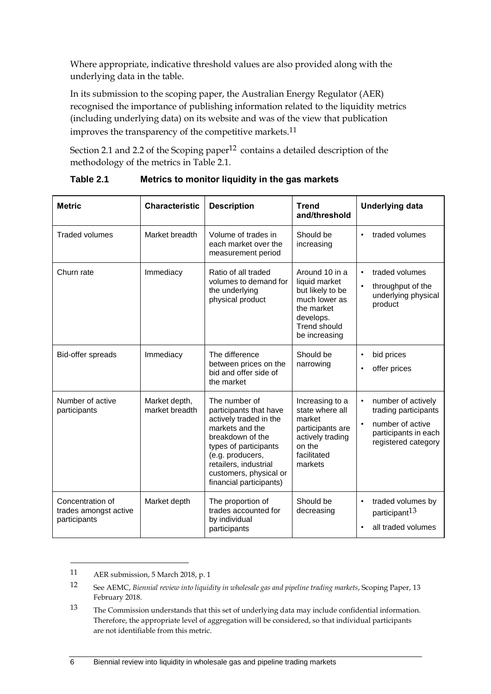Where appropriate, indicative threshold values are also provided along with the underlying data in the table.

In its submission to the scoping paper, the Australian Energy Regulator (AER) recognised the importance of publishing information related to the liquidity metrics (including underlying data) on its website and was of the view that publication improves the transparency of the competitive markets.11

Section 2.1 and 2.2 of the Scoping paper<sup>12</sup> contains a detailed description of the methodology of the metrics in Table 2.1.

| <b>Metric</b>                                             | <b>Characteristic</b>           | <b>Description</b>                                                                                                                                                                                                                  | <b>Trend</b><br>and/threshold                                                                                                           | <b>Underlying data</b>                                                                                        |
|-----------------------------------------------------------|---------------------------------|-------------------------------------------------------------------------------------------------------------------------------------------------------------------------------------------------------------------------------------|-----------------------------------------------------------------------------------------------------------------------------------------|---------------------------------------------------------------------------------------------------------------|
| <b>Traded volumes</b>                                     | Market breadth                  | Volume of trades in<br>each market over the<br>measurement period                                                                                                                                                                   | Should be<br>increasing                                                                                                                 | traded volumes                                                                                                |
| Churn rate                                                | Immediacy                       | Ratio of all traded<br>volumes to demand for<br>the underlying<br>physical product                                                                                                                                                  | Around 10 in a<br>liquid market<br>but likely to be<br>much lower as<br>the market<br>develops.<br><b>Trend should</b><br>be increasing | traded volumes<br>throughput of the<br>underlying physical<br>product                                         |
| Bid-offer spreads                                         | Immediacy                       | The difference<br>between prices on the<br>bid and offer side of<br>the market                                                                                                                                                      | Should be<br>narrowing                                                                                                                  | bid prices<br>offer prices                                                                                    |
| Number of active<br>participants                          | Market depth,<br>market breadth | The number of<br>participants that have<br>actively traded in the<br>markets and the<br>breakdown of the<br>types of participants<br>(e.g. producers,<br>retailers, industrial<br>customers, physical or<br>financial participants) | Increasing to a<br>state where all<br>market<br>participants are<br>actively trading<br>on the<br>facilitated<br>markets                | number of actively<br>trading participants<br>number of active<br>participants in each<br>registered category |
| Concentration of<br>trades amongst active<br>participants | Market depth                    | The proportion of<br>trades accounted for<br>by individual<br>participants                                                                                                                                                          | Should be<br>decreasing                                                                                                                 | traded volumes by<br>participant <sup>13</sup><br>all traded volumes                                          |

**Table 2.1 Metrics to monitor liquidity in the gas markets**

1

<sup>11</sup> AER submission, 5 March 2018, p. 1

<sup>12</sup> See AEMC, *Biennial review into liquidity in wholesale gas and pipeline trading markets*, Scoping Paper, 13 February 2018.

<sup>13</sup> The Commission understands that this set of underlying data may include confidential information. Therefore, the appropriate level of aggregation will be considered, so that individual participants are not identifiable from this metric.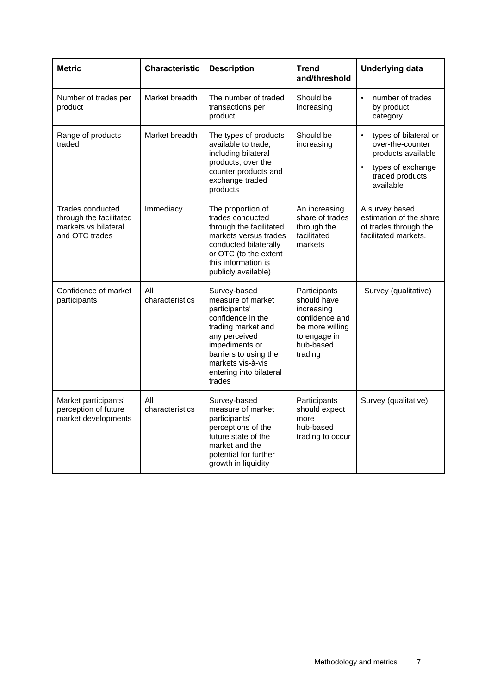| <b>Metric</b>                                                                         | <b>Characteristic</b>  | <b>Description</b>                                                                                                                                                                                                  | <b>Trend</b><br>and/threshold                                                                                          | <b>Underlying data</b>                                                                                                            |
|---------------------------------------------------------------------------------------|------------------------|---------------------------------------------------------------------------------------------------------------------------------------------------------------------------------------------------------------------|------------------------------------------------------------------------------------------------------------------------|-----------------------------------------------------------------------------------------------------------------------------------|
| Number of trades per<br>product                                                       | Market breadth         | The number of traded<br>transactions per<br>product                                                                                                                                                                 | Should be<br>increasing                                                                                                | number of trades<br>$\bullet$<br>by product<br>category                                                                           |
| Range of products<br>traded                                                           | Market breadth         | The types of products<br>available to trade,<br>including bilateral<br>products, over the<br>counter products and<br>exchange traded<br>products                                                                    | Should be<br>increasing                                                                                                | types of bilateral or<br>$\bullet$<br>over-the-counter<br>products available<br>types of exchange<br>traded products<br>available |
| Trades conducted<br>through the facilitated<br>markets vs bilateral<br>and OTC trades | Immediacy              | The proportion of<br>trades conducted<br>through the facilitated<br>markets versus trades<br>conducted bilaterally<br>or OTC (to the extent<br>this information is<br>publicly available)                           | An increasing<br>share of trades<br>through the<br>facilitated<br>markets                                              | A survey based<br>estimation of the share<br>of trades through the<br>facilitated markets.                                        |
| Confidence of market<br>participants                                                  | All<br>characteristics | Survey-based<br>measure of market<br>participants'<br>confidence in the<br>trading market and<br>any perceived<br>impediments or<br>barriers to using the<br>markets vis-à-vis<br>entering into bilateral<br>trades | Participants<br>should have<br>increasing<br>confidence and<br>be more willing<br>to engage in<br>hub-based<br>trading | Survey (qualitative)                                                                                                              |
| Market participants'<br>perception of future<br>market developments                   | All<br>characteristics | Survey-based<br>measure of market<br>participants'<br>perceptions of the<br>future state of the<br>market and the<br>potential for further<br>growth in liquidity                                                   | Participants<br>should expect<br>more<br>hub-based<br>trading to occur                                                 | Survey (qualitative)                                                                                                              |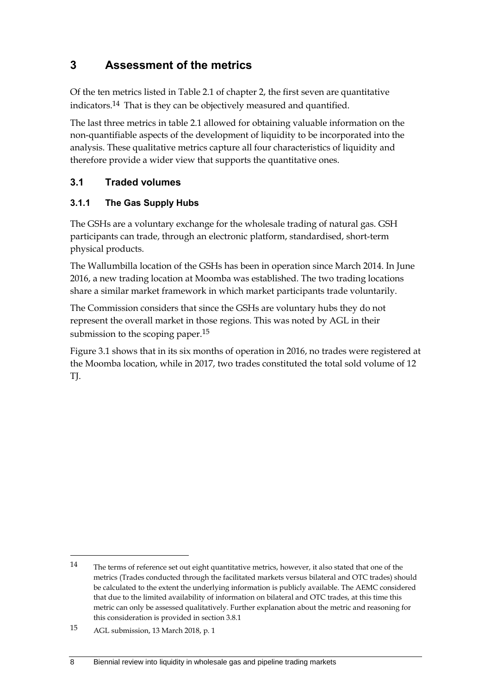# <span id="page-13-0"></span>**3 Assessment of the metrics**

Of the ten metrics listed in Table 2.1 of chapter 2, the first seven are quantitative indicators.14 That is they can be objectively measured and quantified.

The last three metrics in table 2.1 allowed for obtaining valuable information on the non-quantifiable aspects of the development of liquidity to be incorporated into the analysis. These qualitative metrics capture all four characteristics of liquidity and therefore provide a wider view that supports the quantitative ones.

# <span id="page-13-1"></span>**3.1 Traded volumes**

## **3.1.1 The Gas Supply Hubs**

The GSHs are a voluntary exchange for the wholesale trading of natural gas. GSH participants can trade, through an electronic platform, standardised, short-term physical products.

The Wallumbilla location of the GSHs has been in operation since March 2014. In June 2016, a new trading location at Moomba was established. The two trading locations share a similar market framework in which market participants trade voluntarily.

The Commission considers that since the GSHs are voluntary hubs they do not represent the overall market in those regions. This was noted by AGL in their submission to the scoping paper.<sup>15</sup>

Figure 3.1 shows that in its six months of operation in 2016, no trades were registered at the Moomba location, while in 2017, two trades constituted the total sold volume of 12 TJ.

<u>.</u>

<sup>14</sup> The terms of reference set out eight quantitative metrics, however, it also stated that one of the metrics (Trades conducted through the facilitated markets versus bilateral and OTC trades) should be calculated to the extent the underlying information is publicly available. The AEMC considered that due to the limited availability of information on bilateral and OTC trades, at this time this metric can only be assessed qualitatively. Further explanation about the metric and reasoning for this consideration is provided in section 3.8.1

<sup>15</sup> AGL submission, 13 March 2018, p. 1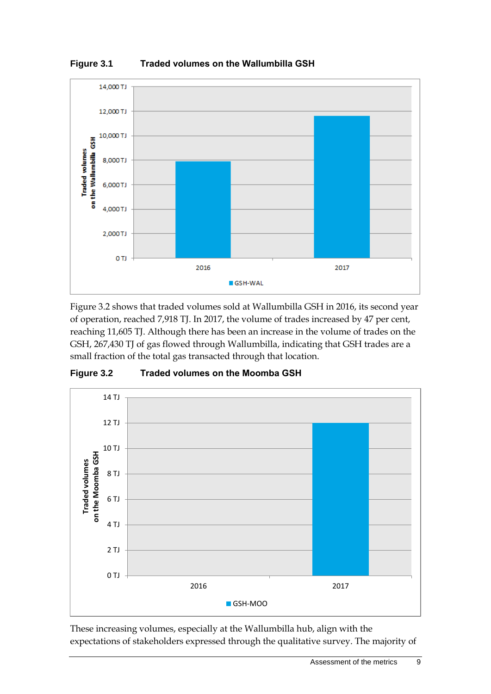

**Figure 3.1 Traded volumes on the Wallumbilla GSH**

Figure 3.2 shows that traded volumes sold at Wallumbilla GSH in 2016, its second year of operation, reached 7,918 TJ. In 2017, the volume of trades increased by 47 per cent, reaching 11,605 TJ. Although there has been an increase in the volume of trades on the GSH, 267,430 TJ of gas flowed through Wallumbilla, indicating that GSH trades are a small fraction of the total gas transacted through that location.





These increasing volumes, especially at the Wallumbilla hub, align with the expectations of stakeholders expressed through the qualitative survey. The majority of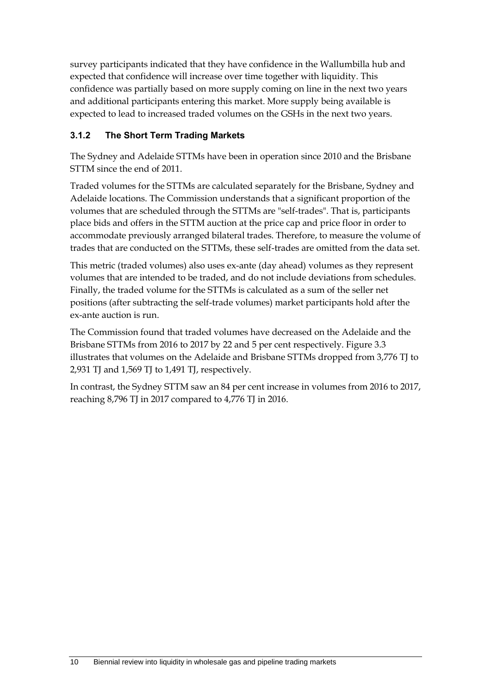survey participants indicated that they have confidence in the Wallumbilla hub and expected that confidence will increase over time together with liquidity. This confidence was partially based on more supply coming on line in the next two years and additional participants entering this market. More supply being available is expected to lead to increased traded volumes on the GSHs in the next two years.

## **3.1.2 The Short Term Trading Markets**

The Sydney and Adelaide STTMs have been in operation since 2010 and the Brisbane STTM since the end of 2011.

Traded volumes for the STTMs are calculated separately for the Brisbane, Sydney and Adelaide locations. The Commission understands that a significant proportion of the volumes that are scheduled through the STTMs are "self-trades". That is, participants place bids and offers in the STTM auction at the price cap and price floor in order to accommodate previously arranged bilateral trades. Therefore, to measure the volume of trades that are conducted on the STTMs, these self-trades are omitted from the data set.

This metric (traded volumes) also uses ex-ante (day ahead) volumes as they represent volumes that are intended to be traded, and do not include deviations from schedules. Finally, the traded volume for the STTMs is calculated as a sum of the seller net positions (after subtracting the self-trade volumes) market participants hold after the ex-ante auction is run.

The Commission found that traded volumes have decreased on the Adelaide and the Brisbane STTMs from 2016 to 2017 by 22 and 5 per cent respectively. Figure 3.3 illustrates that volumes on the Adelaide and Brisbane STTMs dropped from 3,776 TJ to 2,931 TJ and 1,569 TJ to 1,491 TJ, respectively.

In contrast, the Sydney STTM saw an 84 per cent increase in volumes from 2016 to 2017, reaching 8,796 TJ in 2017 compared to 4,776 TJ in 2016.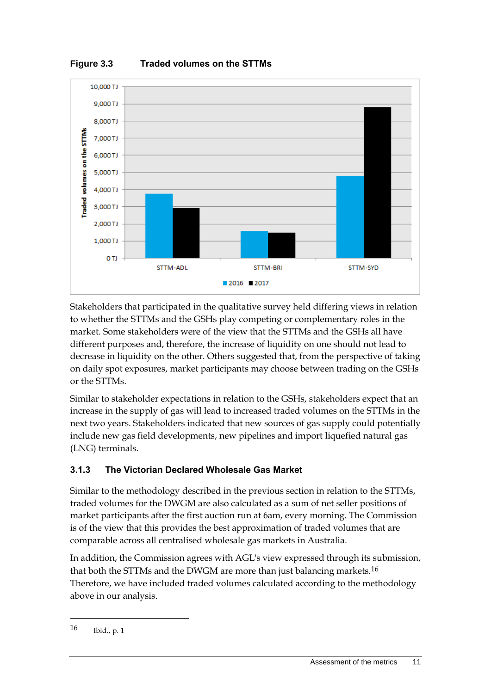



Stakeholders that participated in the qualitative survey held differing views in relation to whether the STTMs and the GSHs play competing or complementary roles in the market. Some stakeholders were of the view that the STTMs and the GSHs all have different purposes and, therefore, the increase of liquidity on one should not lead to decrease in liquidity on the other. Others suggested that, from the perspective of taking on daily spot exposures, market participants may choose between trading on the GSHs or the STTMs.

Similar to stakeholder expectations in relation to the GSHs, stakeholders expect that an increase in the supply of gas will lead to increased traded volumes on the STTMs in the next two years. Stakeholders indicated that new sources of gas supply could potentially include new gas field developments, new pipelines and import liquefied natural gas (LNG) terminals.

# **3.1.3 The Victorian Declared Wholesale Gas Market**

Similar to the methodology described in the previous section in relation to the STTMs, traded volumes for the DWGM are also calculated as a sum of net seller positions of market participants after the first auction run at 6am, every morning. The Commission is of the view that this provides the best approximation of traded volumes that are comparable across all centralised wholesale gas markets in Australia.

In addition, the Commission agrees with AGL's view expressed through its submission, that both the STTMs and the DWGM are more than just balancing markets.<sup>16</sup> Therefore, we have included traded volumes calculated according to the methodology above in our analysis.

1

<sup>16</sup> Ibid., p. 1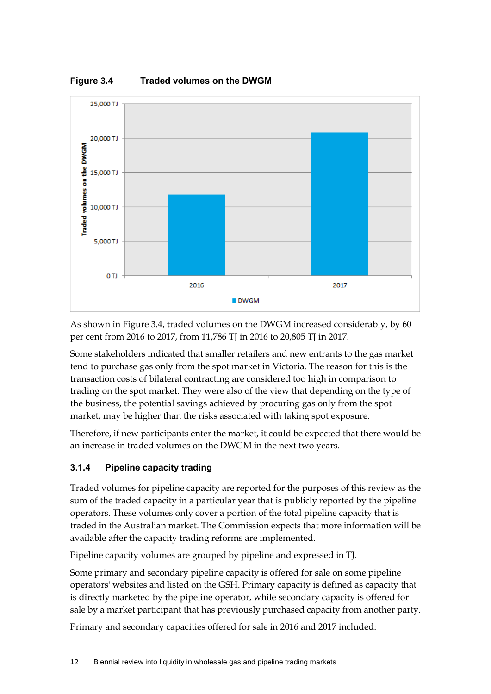



As shown in Figure 3.4, traded volumes on the DWGM increased considerably, by 60 per cent from 2016 to 2017, from 11,786 TJ in 2016 to 20,805 TJ in 2017.

Some stakeholders indicated that smaller retailers and new entrants to the gas market tend to purchase gas only from the spot market in Victoria. The reason for this is the transaction costs of bilateral contracting are considered too high in comparison to trading on the spot market. They were also of the view that depending on the type of the business, the potential savings achieved by procuring gas only from the spot market, may be higher than the risks associated with taking spot exposure.

Therefore, if new participants enter the market, it could be expected that there would be an increase in traded volumes on the DWGM in the next two years.

# **3.1.4 Pipeline capacity trading**

Traded volumes for pipeline capacity are reported for the purposes of this review as the sum of the traded capacity in a particular year that is publicly reported by the pipeline operators. These volumes only cover a portion of the total pipeline capacity that is traded in the Australian market. The Commission expects that more information will be available after the capacity trading reforms are implemented.

Pipeline capacity volumes are grouped by pipeline and expressed in TJ.

Some primary and secondary pipeline capacity is offered for sale on some pipeline operators' websites and listed on the GSH. Primary capacity is defined as capacity that is directly marketed by the pipeline operator, while secondary capacity is offered for sale by a market participant that has previously purchased capacity from another party.

Primary and secondary capacities offered for sale in 2016 and 2017 included: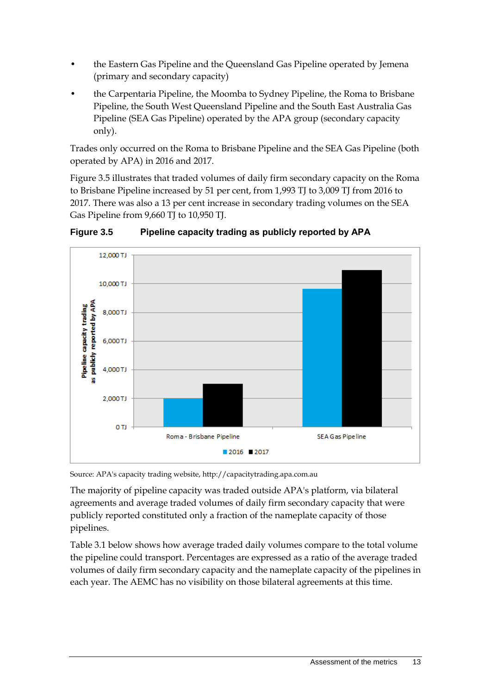- the Eastern Gas Pipeline and the Queensland Gas Pipeline operated by Jemena (primary and secondary capacity)
- the Carpentaria Pipeline, the Moomba to Sydney Pipeline, the Roma to Brisbane Pipeline, the South West Queensland Pipeline and the South East Australia Gas Pipeline (SEA Gas Pipeline) operated by the APA group (secondary capacity only).

Trades only occurred on the Roma to Brisbane Pipeline and the SEA Gas Pipeline (both operated by APA) in 2016 and 2017.

Figure 3.5 illustrates that traded volumes of daily firm secondary capacity on the Roma to Brisbane Pipeline increased by 51 per cent, from 1,993 TJ to 3,009 TJ from 2016 to 2017. There was also a 13 per cent increase in secondary trading volumes on the SEA Gas Pipeline from 9,660 TJ to 10,950 TJ.



**Figure 3.5 Pipeline capacity trading as publicly reported by APA**

Source: APA's capacity trading website, http://capacitytrading.apa.com.au

The majority of pipeline capacity was traded outside APA's platform, via bilateral agreements and average traded volumes of daily firm secondary capacity that were publicly reported constituted only a fraction of the nameplate capacity of those pipelines.

Table 3.1 below shows how average traded daily volumes compare to the total volume the pipeline could transport. Percentages are expressed as a ratio of the average traded volumes of daily firm secondary capacity and the nameplate capacity of the pipelines in each year. The AEMC has no visibility on those bilateral agreements at this time.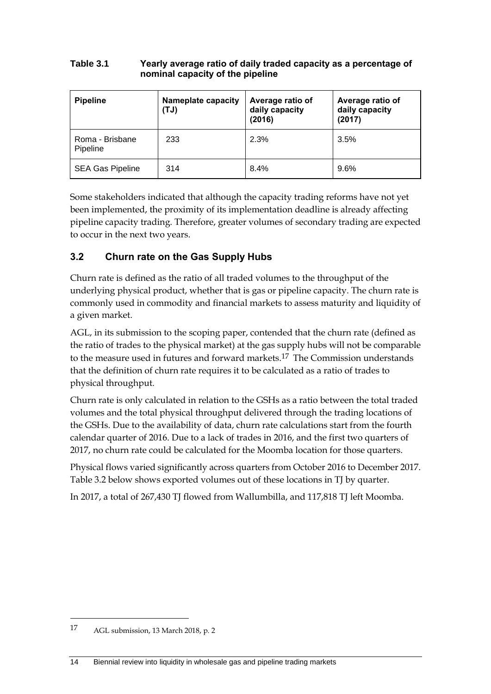#### **Table 3.1 Yearly average ratio of daily traded capacity as a percentage of nominal capacity of the pipeline**

| <b>Pipeline</b>             | <b>Nameplate capacity</b><br>(UT) | Average ratio of<br>daily capacity<br>(2016) | Average ratio of<br>daily capacity<br>(2017) |
|-----------------------------|-----------------------------------|----------------------------------------------|----------------------------------------------|
| Roma - Brisbane<br>Pipeline | 233                               | 2.3%                                         | 3.5%                                         |
| <b>SEA Gas Pipeline</b>     | 314                               | 8.4%                                         | 9.6%                                         |

Some stakeholders indicated that although the capacity trading reforms have not yet been implemented, the proximity of its implementation deadline is already affecting pipeline capacity trading. Therefore, greater volumes of secondary trading are expected to occur in the next two years.

# <span id="page-19-0"></span>**3.2 Churn rate on the Gas Supply Hubs**

Churn rate is defined as the ratio of all traded volumes to the throughput of the underlying physical product, whether that is gas or pipeline capacity. The churn rate is commonly used in commodity and financial markets to assess maturity and liquidity of a given market.

AGL, in its submission to the scoping paper, contended that the churn rate (defined as the ratio of trades to the physical market) at the gas supply hubs will not be comparable to the measure used in futures and forward markets.<sup>17</sup> The Commission understands that the definition of churn rate requires it to be calculated as a ratio of trades to physical throughput.

Churn rate is only calculated in relation to the GSHs as a ratio between the total traded volumes and the total physical throughput delivered through the trading locations of the GSHs. Due to the availability of data, churn rate calculations start from the fourth calendar quarter of 2016. Due to a lack of trades in 2016, and the first two quarters of 2017, no churn rate could be calculated for the Moomba location for those quarters.

Physical flows varied significantly across quarters from October 2016 to December 2017. Table 3.2 below shows exported volumes out of these locations in TJ by quarter.

In 2017, a total of 267,430 TJ flowed from Wallumbilla, and 117,818 TJ left Moomba.

1

<sup>17</sup> AGL submission, 13 March 2018, p. 2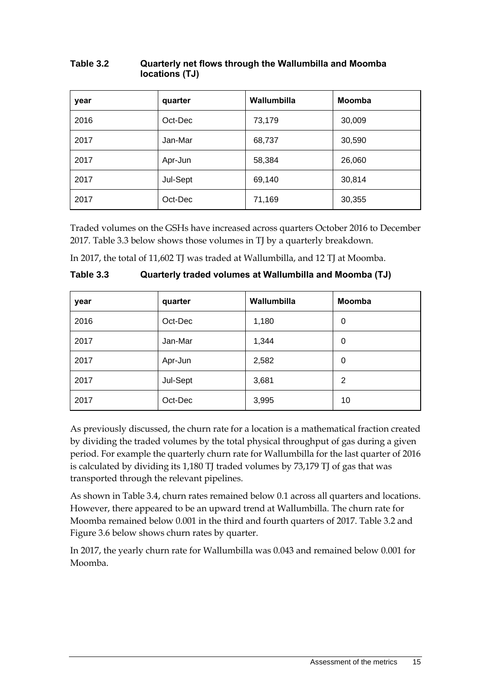| year | quarter  | Wallumbilla | <b>Moomba</b> |
|------|----------|-------------|---------------|
| 2016 | Oct-Dec  | 73,179      | 30,009        |
| 2017 | Jan-Mar  | 68,737      | 30,590        |
| 2017 | Apr-Jun  | 58,384      | 26,060        |
| 2017 | Jul-Sept | 69,140      | 30,814        |
| 2017 | Oct-Dec  | 71,169      | 30,355        |

#### **Table 3.2 Quarterly net flows through the Wallumbilla and Moomba locations (TJ)**

Traded volumes on the GSHs have increased across quarters October 2016 to December 2017. Table 3.3 below shows those volumes in TJ by a quarterly breakdown.

In 2017, the total of 11,602 TJ was traded at Wallumbilla, and 12 TJ at Moomba.

| Table 3.3 | Quarterly traded volumes at Wallumbilla and Moomba (TJ) |
|-----------|---------------------------------------------------------|
|-----------|---------------------------------------------------------|

| year | quarter  | Wallumbilla | <b>Moomba</b> |
|------|----------|-------------|---------------|
| 2016 | Oct-Dec  | 1,180       | 0             |
| 2017 | Jan-Mar  | 1,344       | 0             |
| 2017 | Apr-Jun  | 2,582       | 0             |
| 2017 | Jul-Sept | 3,681       | 2             |
| 2017 | Oct-Dec  | 3,995       | 10            |

As previously discussed, the churn rate for a location is a mathematical fraction created by dividing the traded volumes by the total physical throughput of gas during a given period. For example the quarterly churn rate for Wallumbilla for the last quarter of 2016 is calculated by dividing its 1,180 TJ traded volumes by 73,179 TJ of gas that was transported through the relevant pipelines.

As shown in Table 3.4, churn rates remained below 0.1 across all quarters and locations. However, there appeared to be an upward trend at Wallumbilla. The churn rate for Moomba remained below 0.001 in the third and fourth quarters of 2017. Table 3.2 and Figure 3.6 below shows churn rates by quarter.

In 2017, the yearly churn rate for Wallumbilla was 0.043 and remained below 0.001 for Moomba.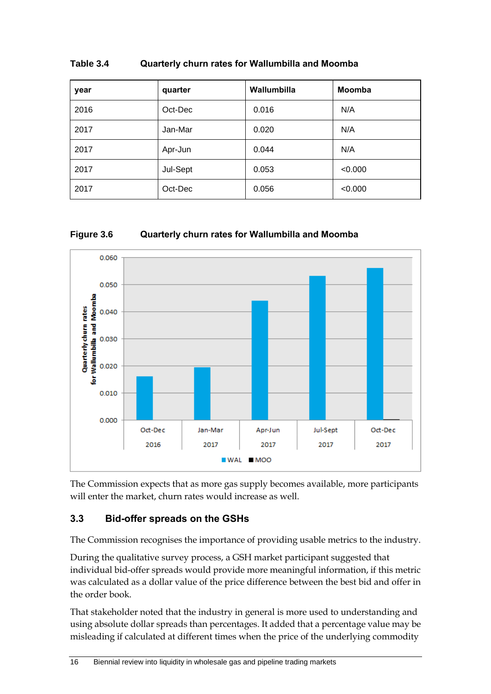| year | quarter  | Wallumbilla | <b>Moomba</b> |
|------|----------|-------------|---------------|
| 2016 | Oct-Dec  | 0.016       | N/A           |
| 2017 | Jan-Mar  | 0.020       | N/A           |
| 2017 | Apr-Jun  | 0.044       | N/A           |
| 2017 | Jul-Sept | 0.053       | < 0.000       |
| 2017 | Oct-Dec  | 0.056       | < 0.000       |

#### **Table 3.4 Quarterly churn rates for Wallumbilla and Moomba**

#### **Figure 3.6 Quarterly churn rates for Wallumbilla and Moomba**



The Commission expects that as more gas supply becomes available, more participants will enter the market, churn rates would increase as well.

### <span id="page-21-0"></span>**3.3 Bid-offer spreads on the GSHs**

The Commission recognises the importance of providing usable metrics to the industry.

During the qualitative survey process, a GSH market participant suggested that individual bid-offer spreads would provide more meaningful information, if this metric was calculated as a dollar value of the price difference between the best bid and offer in the order book.

That stakeholder noted that the industry in general is more used to understanding and using absolute dollar spreads than percentages. It added that a percentage value may be misleading if calculated at different times when the price of the underlying commodity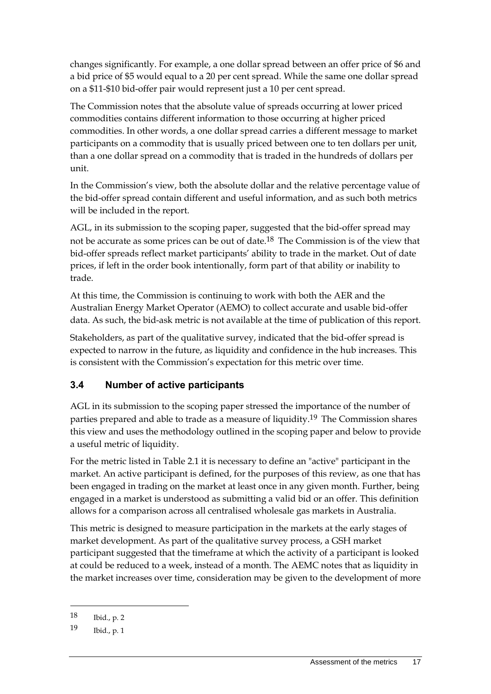changes significantly. For example, a one dollar spread between an offer price of \$6 and a bid price of \$5 would equal to a 20 per cent spread. While the same one dollar spread on a \$11-\$10 bid-offer pair would represent just a 10 per cent spread.

The Commission notes that the absolute value of spreads occurring at lower priced commodities contains different information to those occurring at higher priced commodities. In other words, a one dollar spread carries a different message to market participants on a commodity that is usually priced between one to ten dollars per unit, than a one dollar spread on a commodity that is traded in the hundreds of dollars per unit.

In the Commission's view, both the absolute dollar and the relative percentage value of the bid-offer spread contain different and useful information, and as such both metrics will be included in the report.

AGL, in its submission to the scoping paper, suggested that the bid-offer spread may not be accurate as some prices can be out of date.18 The Commission is of the view that bid-offer spreads reflect market participants' ability to trade in the market. Out of date prices, if left in the order book intentionally, form part of that ability or inability to trade.

At this time, the Commission is continuing to work with both the AER and the Australian Energy Market Operator (AEMO) to collect accurate and usable bid-offer data. As such, the bid-ask metric is not available at the time of publication of this report.

Stakeholders, as part of the qualitative survey, indicated that the bid-offer spread is expected to narrow in the future, as liquidity and confidence in the hub increases. This is consistent with the Commission's expectation for this metric over time.

# <span id="page-22-0"></span>**3.4 Number of active participants**

AGL in its submission to the scoping paper stressed the importance of the number of parties prepared and able to trade as a measure of liquidity.19 The Commission shares this view and uses the methodology outlined in the scoping paper and below to provide a useful metric of liquidity.

For the metric listed in Table 2.1 it is necessary to define an "active" participant in the market. An active participant is defined, for the purposes of this review, as one that has been engaged in trading on the market at least once in any given month. Further, being engaged in a market is understood as submitting a valid bid or an offer. This definition allows for a comparison across all centralised wholesale gas markets in Australia.

This metric is designed to measure participation in the markets at the early stages of market development. As part of the qualitative survey process, a GSH market participant suggested that the timeframe at which the activity of a participant is looked at could be reduced to a week, instead of a month. The AEMC notes that as liquidity in the market increases over time, consideration may be given to the development of more

-

<sup>18</sup> Ibid., p. 2

<sup>19</sup> Ibid., p. 1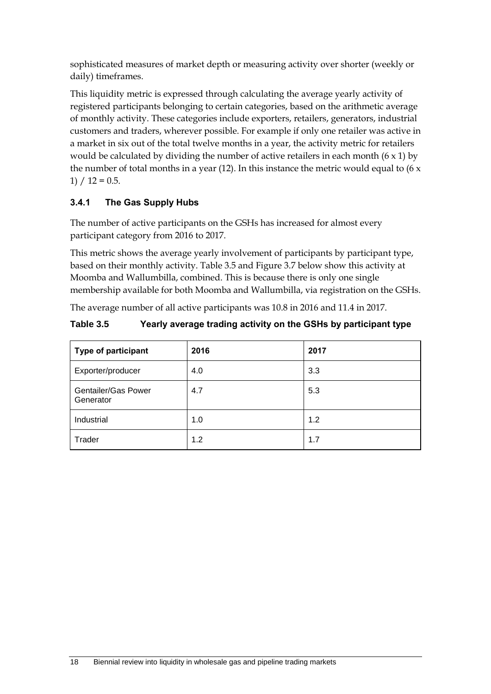sophisticated measures of market depth or measuring activity over shorter (weekly or daily) timeframes.

This liquidity metric is expressed through calculating the average yearly activity of registered participants belonging to certain categories, based on the arithmetic average of monthly activity. These categories include exporters, retailers, generators, industrial customers and traders, wherever possible. For example if only one retailer was active in a market in six out of the total twelve months in a year, the activity metric for retailers would be calculated by dividing the number of active retailers in each month  $(6 \times 1)$  by the number of total months in a year (12). In this instance the metric would equal to (6  $x$  $1) / 12 = 0.5.$ 

# **3.4.1 The Gas Supply Hubs**

The number of active participants on the GSHs has increased for almost every participant category from 2016 to 2017.

This metric shows the average yearly involvement of participants by participant type, based on their monthly activity. Table 3.5 and Figure 3.7 below show this activity at Moomba and Wallumbilla, combined. This is because there is only one single membership available for both Moomba and Wallumbilla, via registration on the GSHs.

The average number of all active participants was 10.8 in 2016 and 11.4 in 2017.

## **Table 3.5 Yearly average trading activity on the GSHs by participant type**

| Type of participant              | 2016 | 2017 |
|----------------------------------|------|------|
| Exporter/producer                | 4.0  | 3.3  |
| Gentailer/Gas Power<br>Generator | 4.7  | 5.3  |
| Industrial                       | 1.0  | 1.2  |
| Trader                           | 1.2  | 1.7  |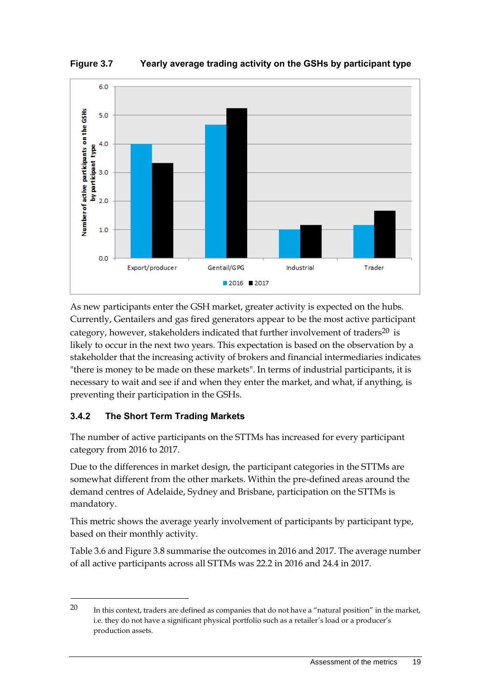**Figure 3.7 Yearly average trading activity on the GSHs by participant type**



As new participants enter the GSH market, greater activity is expected on the hubs. Currently, Gentailers and gas fired generators appear to be the most active participant category, however, stakeholders indicated that further involvement of traders<sup>20</sup> is likely to occur in the next two years. This expectation is based on the observation by a stakeholder that the increasing activity of brokers and financial intermediaries indicates "there is money to be made on these markets". In terms of industrial participants, it is necessary to wait and see if and when they enter the market, and what, if anything, is preventing their participation in the GSHs.

### **3.4.2 The Short Term Trading Markets**

<u>.</u>

The number of active participants on the STTMs has increased for every participant category from 2016 to 2017.

Due to the differences in market design, the participant categories in the STTMs are somewhat different from the other markets. Within the pre-defined areas around the demand centres of Adelaide, Sydney and Brisbane, participation on the STTMs is mandatory.

This metric shows the average yearly involvement of participants by participant type, based on their monthly activity.

Table 3.6 and Figure 3.8 summarise the outcomes in 2016 and 2017. The average number of all active participants across all STTMs was 22.2 in 2016 and 24.4 in 2017.

<sup>20</sup> In this context, traders are defined as companies that do not have a "natural position" in the market, i.e. they do not have a significant physical portfolio such as a retailer's load or a producer's production assets.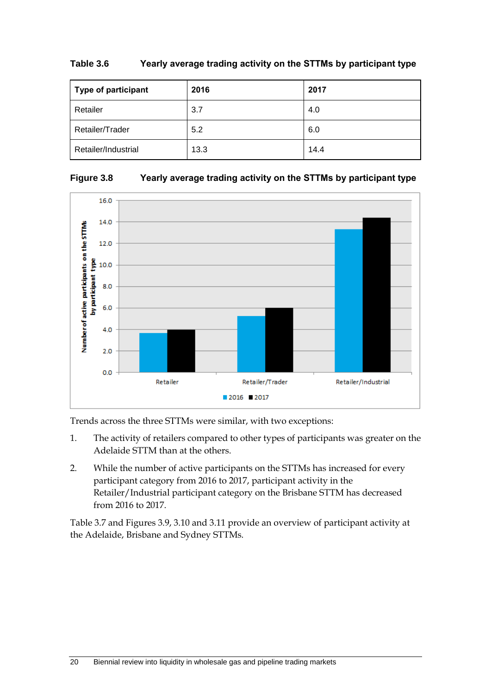| Type of participant | 2016 | 2017 |
|---------------------|------|------|
| Retailer            | 3.7  | 4.0  |
| Retailer/Trader     | 5.2  | 6.0  |
| Retailer/Industrial | 13.3 | 14.4 |

#### **Table 3.6 Yearly average trading activity on the STTMs by participant type**





Trends across the three STTMs were similar, with two exceptions:

- 1. The activity of retailers compared to other types of participants was greater on the Adelaide STTM than at the others.
- 2. While the number of active participants on the STTMs has increased for every participant category from 2016 to 2017, participant activity in the Retailer/Industrial participant category on the Brisbane STTM has decreased from 2016 to 2017.

Table 3.7 and Figures 3.9, 3.10 and 3.11 provide an overview of participant activity at the Adelaide, Brisbane and Sydney STTMs.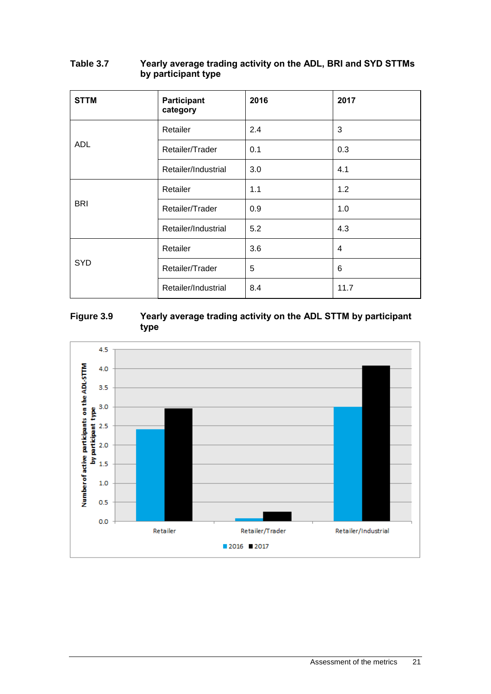| <b>STTM</b> | Participant<br>category | 2016 | 2017           |
|-------------|-------------------------|------|----------------|
|             | Retailer                | 2.4  | 3              |
| <b>ADL</b>  | Retailer/Trader         | 0.1  | 0.3            |
|             | Retailer/Industrial     | 3.0  | 4.1            |
|             | Retailer                | 1.1  | 1.2            |
| <b>BRI</b>  | Retailer/Trader         | 0.9  | 1.0            |
|             | Retailer/Industrial     | 5.2  | 4.3            |
|             | Retailer                | 3.6  | $\overline{4}$ |
| <b>SYD</b>  | Retailer/Trader         | 5    | 6              |
|             | Retailer/Industrial     | 8.4  | 11.7           |

#### **Table 3.7 Yearly average trading activity on the ADL, BRI and SYD STTMs by participant type**

### **Figure 3.9 Yearly average trading activity on the ADL STTM by participant type**

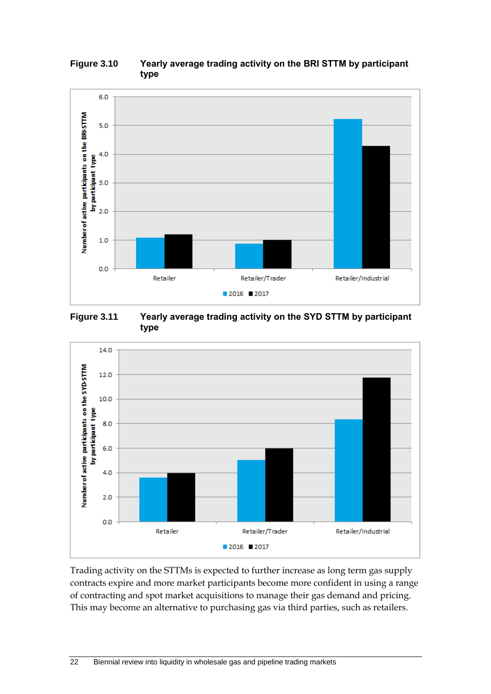



**Figure 3.11 Yearly average trading activity on the SYD STTM by participant type**



Trading activity on the STTMs is expected to further increase as long term gas supply contracts expire and more market participants become more confident in using a range of contracting and spot market acquisitions to manage their gas demand and pricing. This may become an alternative to purchasing gas via third parties, such as retailers.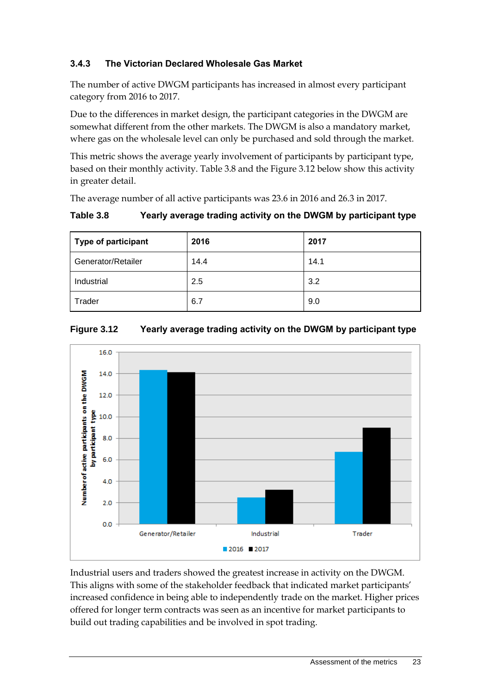## **3.4.3 The Victorian Declared Wholesale Gas Market**

The number of active DWGM participants has increased in almost every participant category from 2016 to 2017.

Due to the differences in market design, the participant categories in the DWGM are somewhat different from the other markets. The DWGM is also a mandatory market, where gas on the wholesale level can only be purchased and sold through the market.

This metric shows the average yearly involvement of participants by participant type, based on their monthly activity. Table 3.8 and the Figure 3.12 below show this activity in greater detail.

The average number of all active participants was 23.6 in 2016 and 26.3 in 2017.

### **Table 3.8 Yearly average trading activity on the DWGM by participant type**

| Type of participant | 2016 | 2017 |
|---------------------|------|------|
| Generator/Retailer  | 14.4 | 14.1 |
| Industrial          | 2.5  | 3.2  |
| Trader              | 6.7  | 9.0  |





Industrial users and traders showed the greatest increase in activity on the DWGM. This aligns with some of the stakeholder feedback that indicated market participants' increased confidence in being able to independently trade on the market. Higher prices offered for longer term contracts was seen as an incentive for market participants to build out trading capabilities and be involved in spot trading.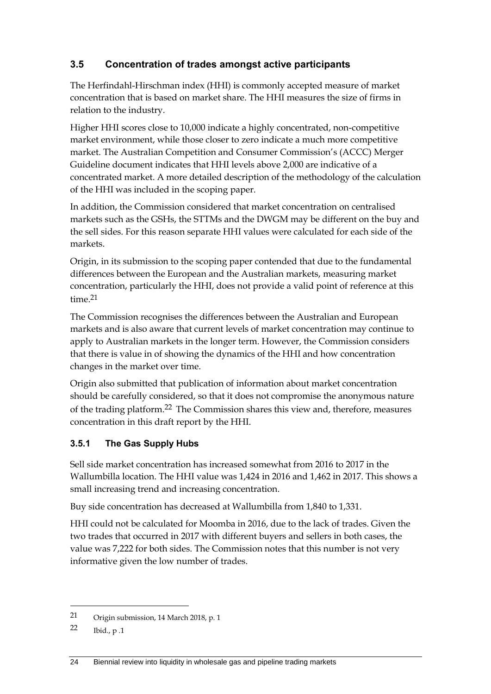# <span id="page-29-0"></span>**3.5 Concentration of trades amongst active participants**

The Herfindahl-Hirschman index (HHI) is commonly accepted measure of market concentration that is based on market share. The HHI measures the size of firms in relation to the industry.

Higher HHI scores close to 10,000 indicate a highly concentrated, non-competitive market environment, while those closer to zero indicate a much more competitive market. The Australian Competition and Consumer Commission's (ACCC) Merger Guideline document indicates that HHI levels above 2,000 are indicative of a concentrated market. A more detailed description of the methodology of the calculation of the HHI was included in the scoping paper.

In addition, the Commission considered that market concentration on centralised markets such as the GSHs, the STTMs and the DWGM may be different on the buy and the sell sides. For this reason separate HHI values were calculated for each side of the markets.

Origin, in its submission to the scoping paper contended that due to the fundamental differences between the European and the Australian markets, measuring market concentration, particularly the HHI, does not provide a valid point of reference at this  $time<sup>21</sup>$ 

The Commission recognises the differences between the Australian and European markets and is also aware that current levels of market concentration may continue to apply to Australian markets in the longer term. However, the Commission considers that there is value in of showing the dynamics of the HHI and how concentration changes in the market over time.

Origin also submitted that publication of information about market concentration should be carefully considered, so that it does not compromise the anonymous nature of the trading platform.22 The Commission shares this view and, therefore, measures concentration in this draft report by the HHI.

### **3.5.1 The Gas Supply Hubs**

Sell side market concentration has increased somewhat from 2016 to 2017 in the Wallumbilla location. The HHI value was 1,424 in 2016 and 1,462 in 2017. This shows a small increasing trend and increasing concentration.

Buy side concentration has decreased at Wallumbilla from 1,840 to 1,331.

HHI could not be calculated for Moomba in 2016, due to the lack of trades. Given the two trades that occurred in 2017 with different buyers and sellers in both cases, the value was 7,222 for both sides. The Commission notes that this number is not very informative given the low number of trades.

-

<sup>21</sup> Origin submission, 14 March 2018, p. 1

<sup>22</sup> Ibid., p .1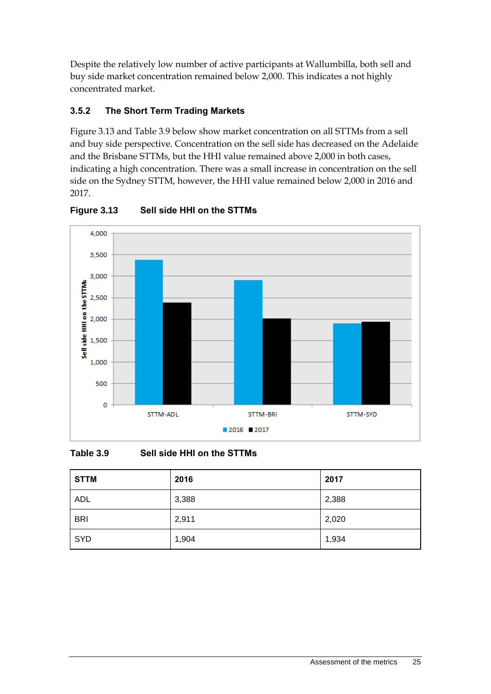Despite the relatively low number of active participants at Wallumbilla, both sell and buy side market concentration remained below 2,000. This indicates a not highly concentrated market.

# **3.5.2 The Short Term Trading Markets**

Figure 3.13 and Table 3.9 below show market concentration on all STTMs from a sell and buy side perspective. Concentration on the sell side has decreased on the Adelaide and the Brisbane STTMs, but the HHI value remained above 2,000 in both cases, indicating a high concentration. There was a small increase in concentration on the sell side on the Sydney STTM, however, the HHI value remained below 2,000 in 2016 and 2017.



**Figure 3.13 Sell side HHI on the STTMs**

**Table 3.9 Sell side HHI on the STTMs**

| <b>STTM</b> | 2016  | 2017  |
|-------------|-------|-------|
| <b>ADL</b>  | 3,388 | 2,388 |
| <b>BRI</b>  | 2,911 | 2,020 |
| SYD         | 1,904 | 1,934 |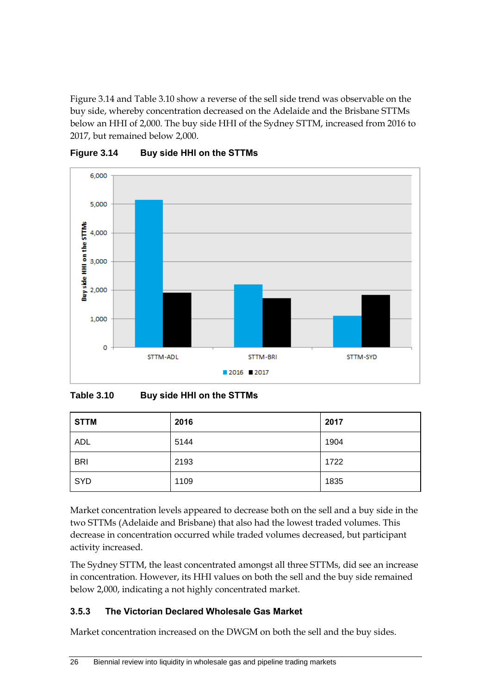Figure 3.14 and Table 3.10 show a reverse of the sell side trend was observable on the buy side, whereby concentration decreased on the Adelaide and the Brisbane STTMs below an HHI of 2,000. The buy side HHI of the Sydney STTM, increased from 2016 to 2017, but remained below 2,000.



**Figure 3.14 Buy side HHI on the STTMs**

**Table 3.10 Buy side HHI on the STTMs**

| <b>STTM</b> | 2016 | 2017 |
|-------------|------|------|
| <b>ADL</b>  | 5144 | 1904 |
| <b>BRI</b>  | 2193 | 1722 |
| SYD         | 1109 | 1835 |

Market concentration levels appeared to decrease both on the sell and a buy side in the two STTMs (Adelaide and Brisbane) that also had the lowest traded volumes. This decrease in concentration occurred while traded volumes decreased, but participant activity increased.

The Sydney STTM, the least concentrated amongst all three STTMs, did see an increase in concentration. However, its HHI values on both the sell and the buy side remained below 2,000, indicating a not highly concentrated market.

# **3.5.3 The Victorian Declared Wholesale Gas Market**

Market concentration increased on the DWGM on both the sell and the buy sides.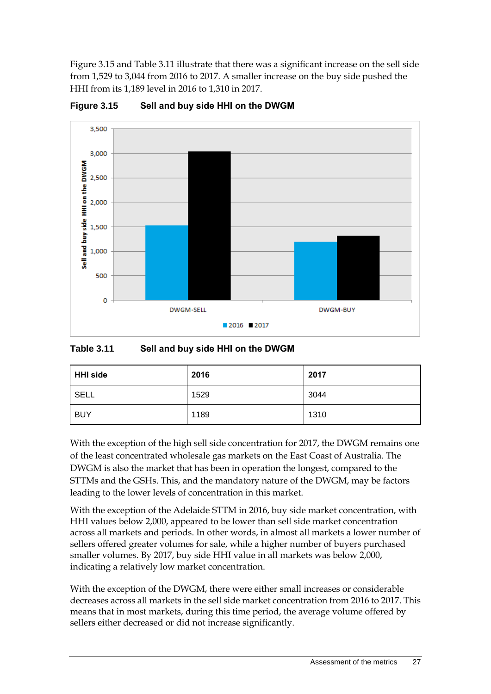Figure 3.15 and Table 3.11 illustrate that there was a significant increase on the sell side from 1,529 to 3,044 from 2016 to 2017. A smaller increase on the buy side pushed the HHI from its 1,189 level in 2016 to 1,310 in 2017.



**Figure 3.15 Sell and buy side HHI on the DWGM**

#### **Table 3.11 Sell and buy side HHI on the DWGM**

| <b>HHI side</b> | 2016 | 2017 |
|-----------------|------|------|
| SELL            | 1529 | 3044 |
| <b>BUY</b>      | 1189 | 1310 |

With the exception of the high sell side concentration for 2017, the DWGM remains one of the least concentrated wholesale gas markets on the East Coast of Australia. The DWGM is also the market that has been in operation the longest, compared to the STTMs and the GSHs. This, and the mandatory nature of the DWGM, may be factors leading to the lower levels of concentration in this market.

With the exception of the Adelaide STTM in 2016, buy side market concentration, with HHI values below 2,000, appeared to be lower than sell side market concentration across all markets and periods. In other words, in almost all markets a lower number of sellers offered greater volumes for sale, while a higher number of buyers purchased smaller volumes. By 2017, buy side HHI value in all markets was below 2,000, indicating a relatively low market concentration.

With the exception of the DWGM, there were either small increases or considerable decreases across all markets in the sell side market concentration from 2016 to 2017. This means that in most markets, during this time period, the average volume offered by sellers either decreased or did not increase significantly.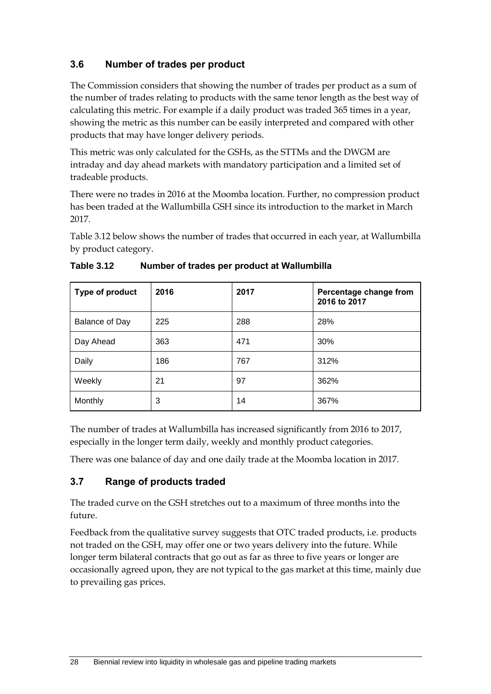# <span id="page-33-0"></span>**3.6 Number of trades per product**

The Commission considers that showing the number of trades per product as a sum of the number of trades relating to products with the same tenor length as the best way of calculating this metric. For example if a daily product was traded 365 times in a year, showing the metric as this number can be easily interpreted and compared with other products that may have longer delivery periods.

This metric was only calculated for the GSHs, as the STTMs and the DWGM are intraday and day ahead markets with mandatory participation and a limited set of tradeable products.

There were no trades in 2016 at the Moomba location. Further, no compression product has been traded at the Wallumbilla GSH since its introduction to the market in March 2017.

Table 3.12 below shows the number of trades that occurred in each year, at Wallumbilla by product category.

| Type of product | 2016 | 2017 | Percentage change from<br>2016 to 2017 |
|-----------------|------|------|----------------------------------------|
| Balance of Day  | 225  | 288  | 28%                                    |
| Day Ahead       | 363  | 471  | 30%                                    |
| Daily           | 186  | 767  | 312%                                   |
| Weekly          | 21   | 97   | 362%                                   |
| Monthly         | 3    | 14   | 367%                                   |

| <b>Table 3.12</b> | Number of trades per product at Wallumbilla |  |
|-------------------|---------------------------------------------|--|
|                   |                                             |  |

The number of trades at Wallumbilla has increased significantly from 2016 to 2017, especially in the longer term daily, weekly and monthly product categories.

There was one balance of day and one daily trade at the Moomba location in 2017.

# <span id="page-33-1"></span>**3.7 Range of products traded**

The traded curve on the GSH stretches out to a maximum of three months into the future.

Feedback from the qualitative survey suggests that OTC traded products, i.e. products not traded on the GSH, may offer one or two years delivery into the future. While longer term bilateral contracts that go out as far as three to five years or longer are occasionally agreed upon, they are not typical to the gas market at this time, mainly due to prevailing gas prices.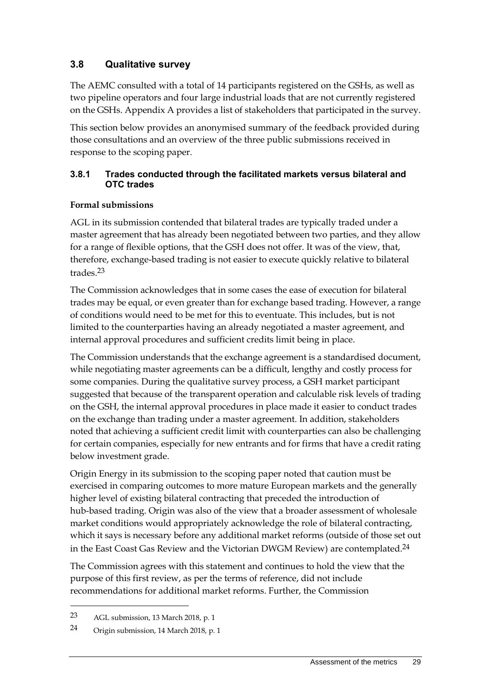# <span id="page-34-0"></span>**3.8 Qualitative survey**

The AEMC consulted with a total of 14 participants registered on the GSHs, as well as two pipeline operators and four large industrial loads that are not currently registered on the GSHs. Appendix A provides a list of stakeholders that participated in the survey.

This section below provides an anonymised summary of the feedback provided during those consultations and an overview of the three public submissions received in response to the scoping paper.

#### **3.8.1 Trades conducted through the facilitated markets versus bilateral and OTC trades**

### **Formal submissions**

AGL in its submission contended that bilateral trades are typically traded under a master agreement that has already been negotiated between two parties, and they allow for a range of flexible options, that the GSH does not offer. It was of the view, that, therefore, exchange-based trading is not easier to execute quickly relative to bilateral trades.23

The Commission acknowledges that in some cases the ease of execution for bilateral trades may be equal, or even greater than for exchange based trading. However, a range of conditions would need to be met for this to eventuate. This includes, but is not limited to the counterparties having an already negotiated a master agreement, and internal approval procedures and sufficient credits limit being in place.

The Commission understands that the exchange agreement is a standardised document, while negotiating master agreements can be a difficult, lengthy and costly process for some companies. During the qualitative survey process, a GSH market participant suggested that because of the transparent operation and calculable risk levels of trading on the GSH, the internal approval procedures in place made it easier to conduct trades on the exchange than trading under a master agreement. In addition, stakeholders noted that achieving a sufficient credit limit with counterparties can also be challenging for certain companies, especially for new entrants and for firms that have a credit rating below investment grade.

Origin Energy in its submission to the scoping paper noted that caution must be exercised in comparing outcomes to more mature European markets and the generally higher level of existing bilateral contracting that preceded the introduction of hub-based trading. Origin was also of the view that a broader assessment of wholesale market conditions would appropriately acknowledge the role of bilateral contracting, which it says is necessary before any additional market reforms (outside of those set out in the East Coast Gas Review and the Victorian DWGM Review) are contemplated.<sup>24</sup>

The Commission agrees with this statement and continues to hold the view that the purpose of this first review, as per the terms of reference, did not include recommendations for additional market reforms. Further, the Commission

-

<sup>23</sup> AGL submission, 13 March 2018, p. 1

<sup>24</sup> Origin submission, 14 March 2018, p. 1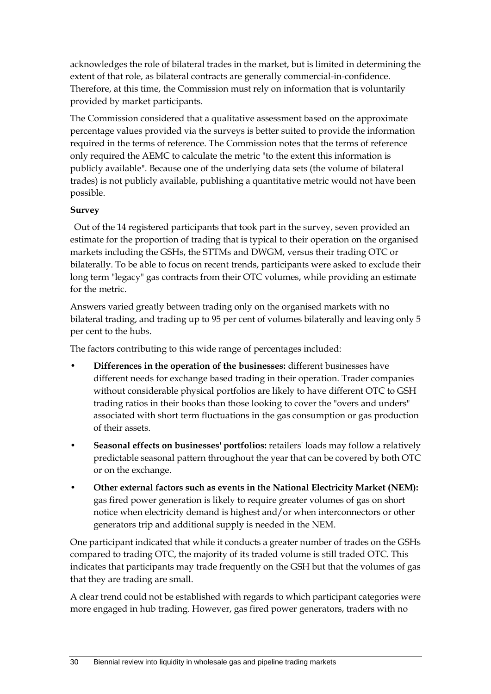acknowledges the role of bilateral trades in the market, but is limited in determining the extent of that role, as bilateral contracts are generally commercial-in-confidence. Therefore, at this time, the Commission must rely on information that is voluntarily provided by market participants.

The Commission considered that a qualitative assessment based on the approximate percentage values provided via the surveys is better suited to provide the information required in the terms of reference. The Commission notes that the terms of reference only required the AEMC to calculate the metric "to the extent this information is publicly available". Because one of the underlying data sets (the volume of bilateral trades) is not publicly available, publishing a quantitative metric would not have been possible.

#### **Survey**

Out of the 14 registered participants that took part in the survey, seven provided an estimate for the proportion of trading that is typical to their operation on the organised markets including the GSHs, the STTMs and DWGM, versus their trading OTC or bilaterally. To be able to focus on recent trends, participants were asked to exclude their long term "legacy" gas contracts from their OTC volumes, while providing an estimate for the metric.

Answers varied greatly between trading only on the organised markets with no bilateral trading, and trading up to 95 per cent of volumes bilaterally and leaving only 5 per cent to the hubs.

The factors contributing to this wide range of percentages included:

- **Differences in the operation of the businesses:** different businesses have different needs for exchange based trading in their operation. Trader companies without considerable physical portfolios are likely to have different OTC to GSH trading ratios in their books than those looking to cover the "overs and unders" associated with short term fluctuations in the gas consumption or gas production of their assets.
- **Seasonal effects on businesses' portfolios:** retailers' loads may follow a relatively predictable seasonal pattern throughout the year that can be covered by both OTC or on the exchange.
- **Other external factors such as events in the National Electricity Market (NEM):** gas fired power generation is likely to require greater volumes of gas on short notice when electricity demand is highest and/or when interconnectors or other generators trip and additional supply is needed in the NEM.

One participant indicated that while it conducts a greater number of trades on the GSHs compared to trading OTC, the majority of its traded volume is still traded OTC. This indicates that participants may trade frequently on the GSH but that the volumes of gas that they are trading are small.

A clear trend could not be established with regards to which participant categories were more engaged in hub trading. However, gas fired power generators, traders with no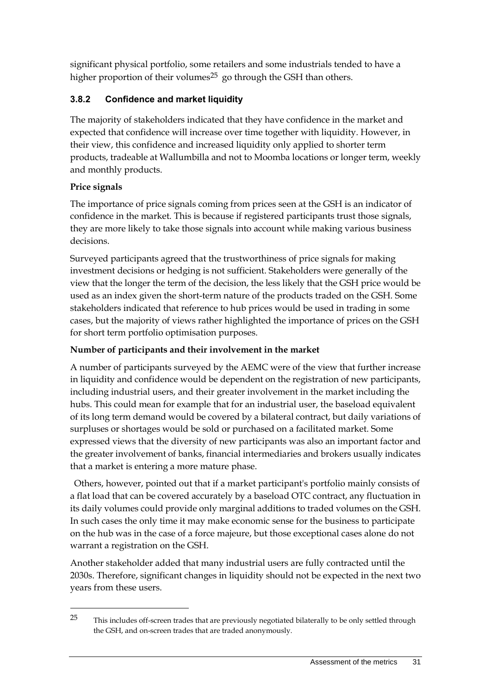significant physical portfolio, some retailers and some industrials tended to have a higher proportion of their volumes<sup>25</sup> go through the GSH than others.

# **3.8.2 Confidence and market liquidity**

The majority of stakeholders indicated that they have confidence in the market and expected that confidence will increase over time together with liquidity. However, in their view, this confidence and increased liquidity only applied to shorter term products, tradeable at Wallumbilla and not to Moomba locations or longer term, weekly and monthly products.

# **Price signals**

-

The importance of price signals coming from prices seen at the GSH is an indicator of confidence in the market. This is because if registered participants trust those signals, they are more likely to take those signals into account while making various business decisions.

Surveyed participants agreed that the trustworthiness of price signals for making investment decisions or hedging is not sufficient. Stakeholders were generally of the view that the longer the term of the decision, the less likely that the GSH price would be used as an index given the short-term nature of the products traded on the GSH. Some stakeholders indicated that reference to hub prices would be used in trading in some cases, but the majority of views rather highlighted the importance of prices on the GSH for short term portfolio optimisation purposes.

# **Number of participants and their involvement in the market**

A number of participants surveyed by the AEMC were of the view that further increase in liquidity and confidence would be dependent on the registration of new participants, including industrial users, and their greater involvement in the market including the hubs. This could mean for example that for an industrial user, the baseload equivalent of its long term demand would be covered by a bilateral contract, but daily variations of surpluses or shortages would be sold or purchased on a facilitated market. Some expressed views that the diversity of new participants was also an important factor and the greater involvement of banks, financial intermediaries and brokers usually indicates that a market is entering a more mature phase.

Others, however, pointed out that if a market participant's portfolio mainly consists of a flat load that can be covered accurately by a baseload OTC contract, any fluctuation in its daily volumes could provide only marginal additions to traded volumes on the GSH. In such cases the only time it may make economic sense for the business to participate on the hub was in the case of a force majeure, but those exceptional cases alone do not warrant a registration on the GSH.

Another stakeholder added that many industrial users are fully contracted until the 2030s. Therefore, significant changes in liquidity should not be expected in the next two years from these users.

<sup>&</sup>lt;sup>25</sup> This includes off-screen trades that are previously negotiated bilaterally to be only settled through the GSH, and on-screen trades that are traded anonymously.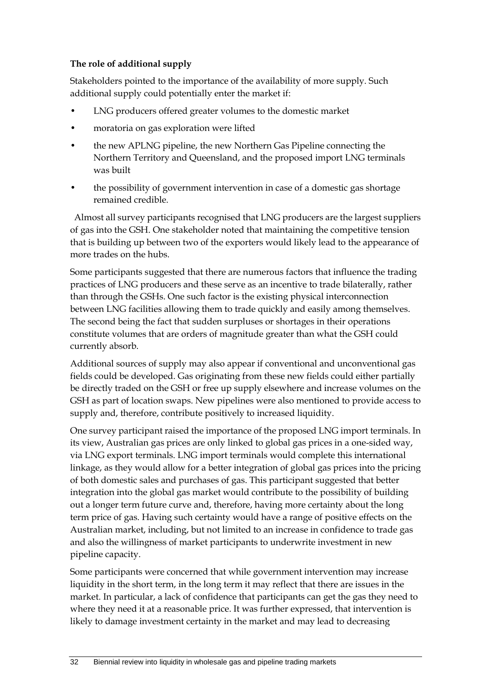#### **The role of additional supply**

Stakeholders pointed to the importance of the availability of more supply. Such additional supply could potentially enter the market if:

- LNG producers offered greater volumes to the domestic market
- moratoria on gas exploration were lifted
- the new APLNG pipeline, the new Northern Gas Pipeline connecting the Northern Territory and Queensland, and the proposed import LNG terminals was built
- the possibility of government intervention in case of a domestic gas shortage remained credible.

Almost all survey participants recognised that LNG producers are the largest suppliers of gas into the GSH. One stakeholder noted that maintaining the competitive tension that is building up between two of the exporters would likely lead to the appearance of more trades on the hubs.

Some participants suggested that there are numerous factors that influence the trading practices of LNG producers and these serve as an incentive to trade bilaterally, rather than through the GSHs. One such factor is the existing physical interconnection between LNG facilities allowing them to trade quickly and easily among themselves. The second being the fact that sudden surpluses or shortages in their operations constitute volumes that are orders of magnitude greater than what the GSH could currently absorb.

Additional sources of supply may also appear if conventional and unconventional gas fields could be developed. Gas originating from these new fields could either partially be directly traded on the GSH or free up supply elsewhere and increase volumes on the GSH as part of location swaps. New pipelines were also mentioned to provide access to supply and, therefore, contribute positively to increased liquidity.

One survey participant raised the importance of the proposed LNG import terminals. In its view, Australian gas prices are only linked to global gas prices in a one-sided way, via LNG export terminals. LNG import terminals would complete this international linkage, as they would allow for a better integration of global gas prices into the pricing of both domestic sales and purchases of gas. This participant suggested that better integration into the global gas market would contribute to the possibility of building out a longer term future curve and, therefore, having more certainty about the long term price of gas. Having such certainty would have a range of positive effects on the Australian market, including, but not limited to an increase in confidence to trade gas and also the willingness of market participants to underwrite investment in new pipeline capacity.

Some participants were concerned that while government intervention may increase liquidity in the short term, in the long term it may reflect that there are issues in the market. In particular, a lack of confidence that participants can get the gas they need to where they need it at a reasonable price. It was further expressed, that intervention is likely to damage investment certainty in the market and may lead to decreasing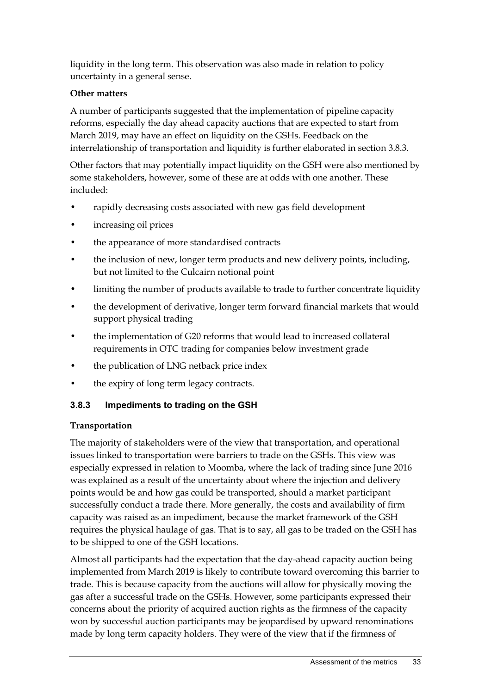liquidity in the long term. This observation was also made in relation to policy uncertainty in a general sense.

### **Other matters**

A number of participants suggested that the implementation of pipeline capacity reforms, especially the day ahead capacity auctions that are expected to start from March 2019, may have an effect on liquidity on the GSHs. Feedback on the interrelationship of transportation and liquidity is further elaborated in section 3.8.3.

Other factors that may potentially impact liquidity on the GSH were also mentioned by some stakeholders, however, some of these are at odds with one another. These included:

- rapidly decreasing costs associated with new gas field development
- increasing oil prices
- the appearance of more standardised contracts
- the inclusion of new, longer term products and new delivery points, including, but not limited to the Culcairn notional point
- limiting the number of products available to trade to further concentrate liquidity
- the development of derivative, longer term forward financial markets that would support physical trading
- the implementation of G20 reforms that would lead to increased collateral requirements in OTC trading for companies below investment grade
- the publication of LNG netback price index
- the expiry of long term legacy contracts.

### **3.8.3 Impediments to trading on the GSH**

#### **Transportation**

The majority of stakeholders were of the view that transportation, and operational issues linked to transportation were barriers to trade on the GSHs. This view was especially expressed in relation to Moomba, where the lack of trading since June 2016 was explained as a result of the uncertainty about where the injection and delivery points would be and how gas could be transported, should a market participant successfully conduct a trade there. More generally, the costs and availability of firm capacity was raised as an impediment, because the market framework of the GSH requires the physical haulage of gas. That is to say, all gas to be traded on the GSH has to be shipped to one of the GSH locations.

Almost all participants had the expectation that the day-ahead capacity auction being implemented from March 2019 is likely to contribute toward overcoming this barrier to trade. This is because capacity from the auctions will allow for physically moving the gas after a successful trade on the GSHs. However, some participants expressed their concerns about the priority of acquired auction rights as the firmness of the capacity won by successful auction participants may be jeopardised by upward renominations made by long term capacity holders. They were of the view that if the firmness of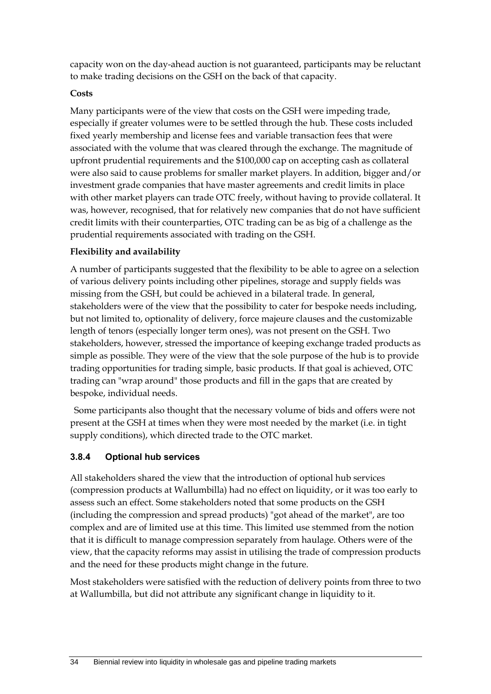capacity won on the day-ahead auction is not guaranteed, participants may be reluctant to make trading decisions on the GSH on the back of that capacity.

#### **Costs**

Many participants were of the view that costs on the GSH were impeding trade, especially if greater volumes were to be settled through the hub. These costs included fixed yearly membership and license fees and variable transaction fees that were associated with the volume that was cleared through the exchange. The magnitude of upfront prudential requirements and the \$100,000 cap on accepting cash as collateral were also said to cause problems for smaller market players. In addition, bigger and/or investment grade companies that have master agreements and credit limits in place with other market players can trade OTC freely, without having to provide collateral. It was, however, recognised, that for relatively new companies that do not have sufficient credit limits with their counterparties, OTC trading can be as big of a challenge as the prudential requirements associated with trading on the GSH.

### **Flexibility and availability**

A number of participants suggested that the flexibility to be able to agree on a selection of various delivery points including other pipelines, storage and supply fields was missing from the GSH, but could be achieved in a bilateral trade. In general, stakeholders were of the view that the possibility to cater for bespoke needs including, but not limited to, optionality of delivery, force majeure clauses and the customizable length of tenors (especially longer term ones), was not present on the GSH. Two stakeholders, however, stressed the importance of keeping exchange traded products as simple as possible. They were of the view that the sole purpose of the hub is to provide trading opportunities for trading simple, basic products. If that goal is achieved, OTC trading can "wrap around" those products and fill in the gaps that are created by bespoke, individual needs.

Some participants also thought that the necessary volume of bids and offers were not present at the GSH at times when they were most needed by the market (i.e. in tight supply conditions), which directed trade to the OTC market.

### **3.8.4 Optional hub services**

All stakeholders shared the view that the introduction of optional hub services (compression products at Wallumbilla) had no effect on liquidity, or it was too early to assess such an effect. Some stakeholders noted that some products on the GSH (including the compression and spread products) "got ahead of the market", are too complex and are of limited use at this time. This limited use stemmed from the notion that it is difficult to manage compression separately from haulage. Others were of the view, that the capacity reforms may assist in utilising the trade of compression products and the need for these products might change in the future.

Most stakeholders were satisfied with the reduction of delivery points from three to two at Wallumbilla, but did not attribute any significant change in liquidity to it.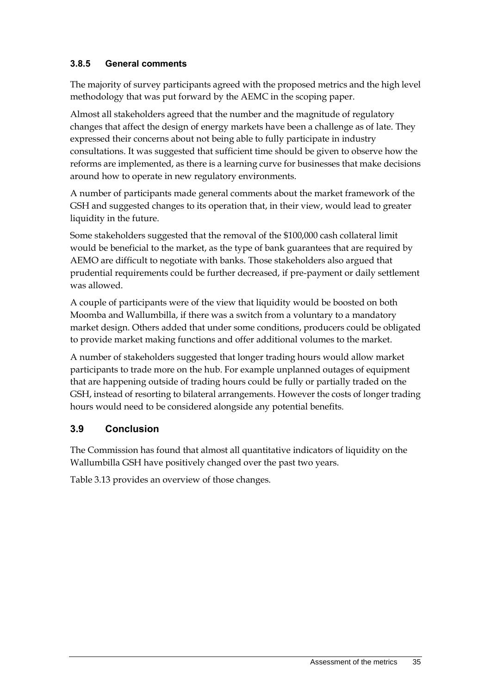## **3.8.5 General comments**

The majority of survey participants agreed with the proposed metrics and the high level methodology that was put forward by the AEMC in the scoping paper.

Almost all stakeholders agreed that the number and the magnitude of regulatory changes that affect the design of energy markets have been a challenge as of late. They expressed their concerns about not being able to fully participate in industry consultations. It was suggested that sufficient time should be given to observe how the reforms are implemented, as there is a learning curve for businesses that make decisions around how to operate in new regulatory environments.

A number of participants made general comments about the market framework of the GSH and suggested changes to its operation that, in their view, would lead to greater liquidity in the future.

Some stakeholders suggested that the removal of the \$100,000 cash collateral limit would be beneficial to the market, as the type of bank guarantees that are required by AEMO are difficult to negotiate with banks. Those stakeholders also argued that prudential requirements could be further decreased, if pre-payment or daily settlement was allowed.

A couple of participants were of the view that liquidity would be boosted on both Moomba and Wallumbilla, if there was a switch from a voluntary to a mandatory market design. Others added that under some conditions, producers could be obligated to provide market making functions and offer additional volumes to the market.

A number of stakeholders suggested that longer trading hours would allow market participants to trade more on the hub. For example unplanned outages of equipment that are happening outside of trading hours could be fully or partially traded on the GSH, instead of resorting to bilateral arrangements. However the costs of longer trading hours would need to be considered alongside any potential benefits.

# <span id="page-40-0"></span>**3.9 Conclusion**

The Commission has found that almost all quantitative indicators of liquidity on the Wallumbilla GSH have positively changed over the past two years.

Table 3.13 provides an overview of those changes.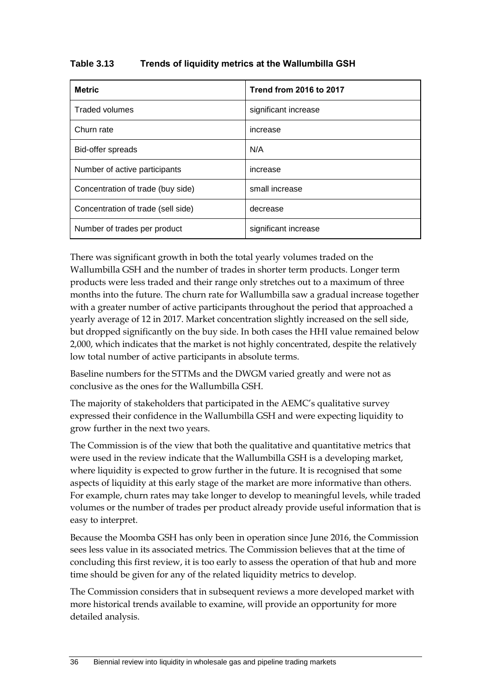#### **Table 3.13 Trends of liquidity metrics at the Wallumbilla GSH**

| <b>Metric</b>                      | <b>Trend from 2016 to 2017</b> |
|------------------------------------|--------------------------------|
| <b>Traded volumes</b>              | significant increase           |
| Churn rate                         | increase                       |
| Bid-offer spreads                  | N/A                            |
| Number of active participants      | increase                       |
| Concentration of trade (buy side)  | small increase                 |
| Concentration of trade (sell side) | decrease                       |
| Number of trades per product       | significant increase           |

There was significant growth in both the total yearly volumes traded on the Wallumbilla GSH and the number of trades in shorter term products. Longer term products were less traded and their range only stretches out to a maximum of three months into the future. The churn rate for Wallumbilla saw a gradual increase together with a greater number of active participants throughout the period that approached a yearly average of 12 in 2017. Market concentration slightly increased on the sell side, but dropped significantly on the buy side. In both cases the HHI value remained below 2,000, which indicates that the market is not highly concentrated, despite the relatively low total number of active participants in absolute terms.

Baseline numbers for the STTMs and the DWGM varied greatly and were not as conclusive as the ones for the Wallumbilla GSH.

The majority of stakeholders that participated in the AEMC's qualitative survey expressed their confidence in the Wallumbilla GSH and were expecting liquidity to grow further in the next two years.

The Commission is of the view that both the qualitative and quantitative metrics that were used in the review indicate that the Wallumbilla GSH is a developing market, where liquidity is expected to grow further in the future. It is recognised that some aspects of liquidity at this early stage of the market are more informative than others. For example, churn rates may take longer to develop to meaningful levels, while traded volumes or the number of trades per product already provide useful information that is easy to interpret.

Because the Moomba GSH has only been in operation since June 2016, the Commission sees less value in its associated metrics. The Commission believes that at the time of concluding this first review, it is too early to assess the operation of that hub and more time should be given for any of the related liquidity metrics to develop.

The Commission considers that in subsequent reviews a more developed market with more historical trends available to examine, will provide an opportunity for more detailed analysis.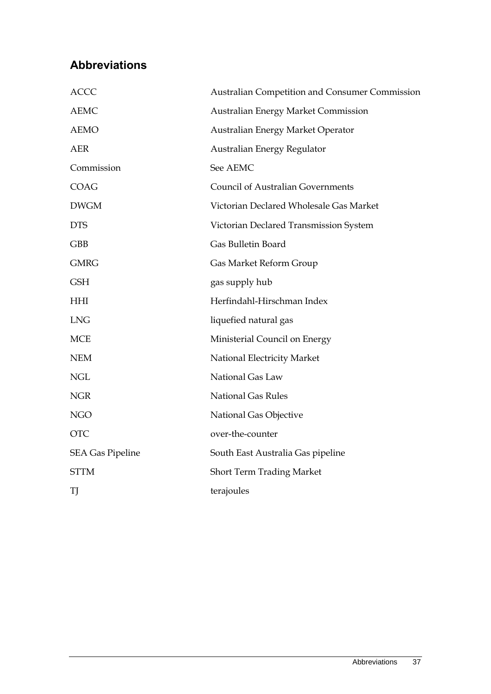# <span id="page-42-0"></span>**Abbreviations**

| <b>ACCC</b>             | Australian Competition and Consumer Commission |
|-------------------------|------------------------------------------------|
| <b>AEMC</b>             | <b>Australian Energy Market Commission</b>     |
| <b>AEMO</b>             | Australian Energy Market Operator              |
| <b>AER</b>              | Australian Energy Regulator                    |
| Commission              | See AEMC                                       |
| <b>COAG</b>             | <b>Council of Australian Governments</b>       |
| <b>DWGM</b>             | Victorian Declared Wholesale Gas Market        |
| <b>DTS</b>              | Victorian Declared Transmission System         |
| <b>GBB</b>              | Gas Bulletin Board                             |
| <b>GMRG</b>             | Gas Market Reform Group                        |
| <b>GSH</b>              | gas supply hub                                 |
| <b>HHI</b>              | Herfindahl-Hirschman Index                     |
| <b>LNG</b>              | liquefied natural gas                          |
| <b>MCE</b>              | Ministerial Council on Energy                  |
| <b>NEM</b>              | National Electricity Market                    |
| <b>NGL</b>              | National Gas Law                               |
| NGR                     | <b>National Gas Rules</b>                      |
| <b>NGO</b>              | National Gas Objective                         |
| <b>OTC</b>              | over-the-counter                               |
| <b>SEA Gas Pipeline</b> | South East Australia Gas pipeline              |
| <b>STTM</b>             | <b>Short Term Trading Market</b>               |
| TJ                      | terajoules                                     |